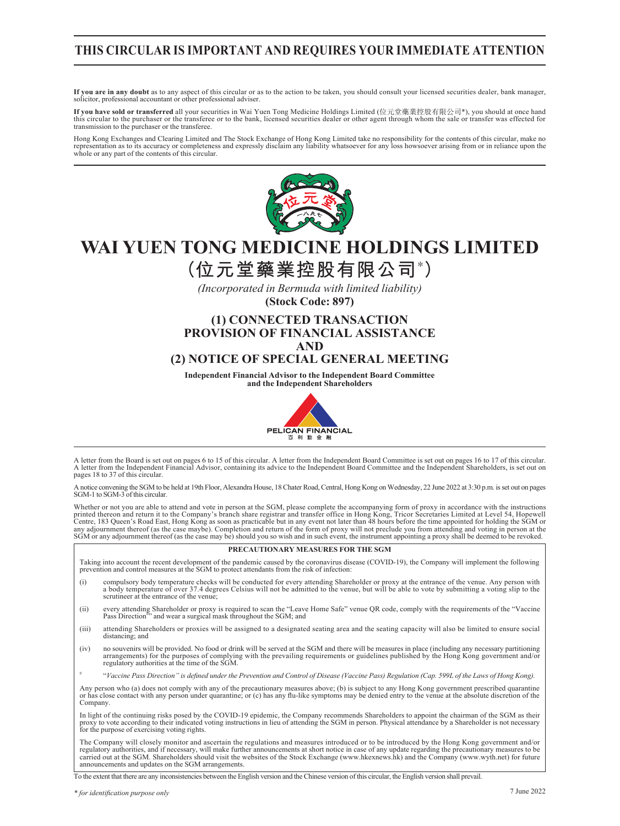## **THIS CIRCULAR IS IMPORTANT AND REQUIRES YOUR IMMEDIATE ATTENTION**

**If you are in any doubt** as to any aspect of this circular or as to the action to be taken, you should consult your licensed securities dealer, bank manager, solicitor, professional accountant or other professional adviser.

If you have sold or transferred all your securities in Wai Yuen Tong Medicine Holdings Limited (位元堂藥業控股有限公司\*), you should at once hand<br>this circular to the purchaser or the transferee or to the bank, licensed securities d transmission to the purchaser or the transferee.

Hong Kong Exchanges and Clearing Limited and The Stock Exchange of Hong Kong Limited take no responsibility for the contents of this circular, make no<br>representation as to its accuracy or completeness and expressly disclai whole or any part of the contents of this circular.



# **WAI YUEN TONG MEDICINE HOLDINGS LIMITED**

**(位元堂藥業控股有限公司\* )**

*(Incorporated in Bermuda with limited liability)* **(Stock Code: 897)**

## **(1) CONNECTED TRANSACTION PROVISION OF FINANCIAL ASSISTANCE AND**

## **(2) NOTICE OF SPECIAL GENERAL MEETING**

**Independent Financial Advisor to the Independent Board Committee and the Independent Shareholders**



A letter from the Board is set out on pages 6 to 15 of this circular. A letter from the Independent Board Committee is set out on pages 16 to 17 of this circular. A letter from the Independent Financial Advisor, containing its advice to the Independent Board Committee and the Independent Shareholders, is set out on pages 18 to 37 of this circular.

A notice convening the SGM to be held at 19th Floor, Alexandra House, 18 Chater Road, Central, Hong Kong on Wednesday, 22 June 2022 at 3:30 p.m. is set out on pages SGM-1 to SGM-3 of this circular

Whether or not you are able to attend and vote in person at the SGM, please complete the accompanying form of proxy in accordance with the instructions printed thereon and return it to the Company's branch share registrar and transfer office in Hong Kong, Tricor Secretaries Limited at Level 54, Hopewell<br>Centre, 183 Queen's Road East, Hong Kong as soon as practicable but i SGM or any adjournment thereof (as the case may be) should you so wish and in such event, the instrument appointing a proxy shall be deemed to be revoked.

#### **PRECAUTIONARY MEASURES FOR THE SGM**

Taking into account the recent development of the pandemic caused by the coronavirus disease (COVID-19), the Company will implement the following prevention and control measures at the SGM to protect attendants from the risk of infection:

- (i) compulsory body temperature checks will be conducted for every attending Shareholder or proxy at the entrance of the venue. Any person with a body temperature of over 37.4 degrees Celsius will not be admitted to the venue, but will be able to vote by submitting a voting slip to the scrutineer at the entrance of the venue
- (ii) every attending Shareholder or proxy is required to scan the "Leave Home Safe" venue QR code, comply with the requirements of the "Vaccine Pass Direction"" and wear a surgical mask throughout the SGM; and
- (iii) attending Shareholders or proxies will be assigned to a designated seating area and the seating capacity will also be limited to ensure social distancing; and
- (iv) no souvenirs will be provided. No food or drink will be served at the SGM and there will be measures in place (including any necessary partitioning<br>arrangements of complying with the prevailing requirements or guideli
- # "*Vaccine Pass Direction" is defined under the Prevention and Control of Disease (Vaccine Pass) Regulation (Cap. 599L of the Laws of Hong Kong).*

Any person who (a) does not comply with any of the precautionary measures above; (b) is subject to any Hong Kong government prescribed quarantine or has close contact with any person under quarantine; or (c) has any flu-like symptoms may be denied entry to the venue at the absolute discretion of the Company.

In light of the continuing risks posed by the COVID-19 epidemic, the Company recommends Shareholders to appoint the chairman of the SGM as their proxy to vote according to their indicated voting instructions in lieu of attending the SGM in person. Physical attendance by a Shareholder is not necessary for the purpose of exercising voting rights.

The Company will closely monitor and ascertain the regulations and measures introduced or to be introduced by the Hong Kong government and/or<br>regulatory authorities, and if necessary, will make further announcements at sho announcements and updates on the SGM arrangements.

To the extent that there are any inconsistencies between the English version and the Chinese version of this circular, the English version shall prevail.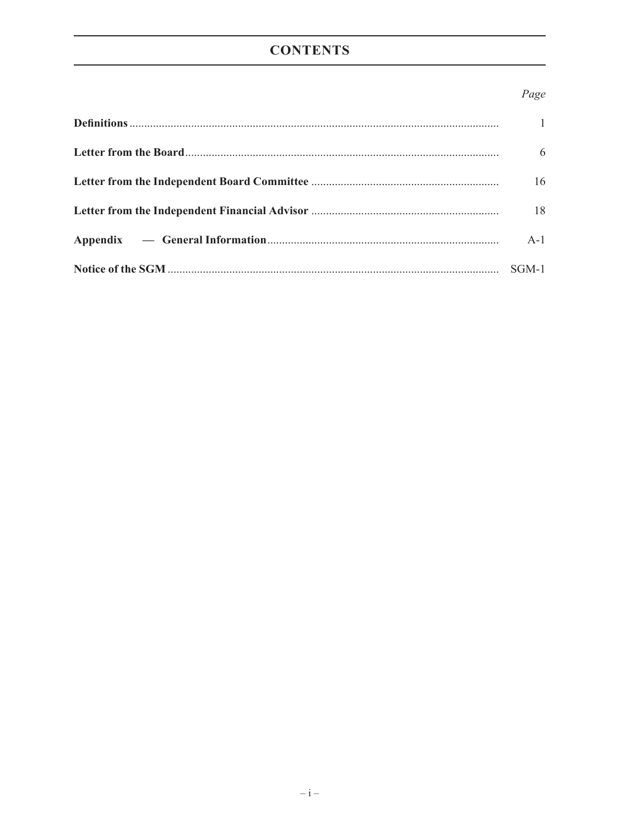## **CONTENTS**

## Page

| $\mathbf{1}$ |
|--------------|
| 6            |
| 16           |
| 18           |
| $A-1$        |
|              |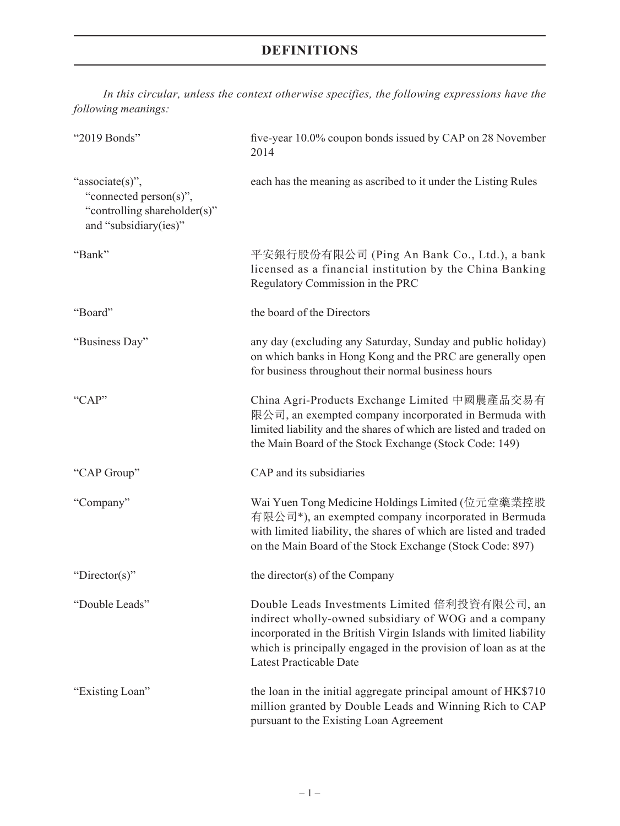*In this circular, unless the context otherwise specifies, the following expressions have the following meanings:*

| "2019 Bonds"                                                                                       | five-year 10.0% coupon bonds issued by CAP on 28 November<br>2014                                                                                                                                                                                                                |
|----------------------------------------------------------------------------------------------------|----------------------------------------------------------------------------------------------------------------------------------------------------------------------------------------------------------------------------------------------------------------------------------|
| "associate(s)",<br>"connected person(s)",<br>"controlling shareholder(s)"<br>and "subsidiary(ies)" | each has the meaning as ascribed to it under the Listing Rules                                                                                                                                                                                                                   |
| "Bank"                                                                                             | 平安銀行股份有限公司 (Ping An Bank Co., Ltd.), a bank<br>licensed as a financial institution by the China Banking<br>Regulatory Commission in the PRC                                                                                                                                      |
| "Board"                                                                                            | the board of the Directors                                                                                                                                                                                                                                                       |
| "Business Day"                                                                                     | any day (excluding any Saturday, Sunday and public holiday)<br>on which banks in Hong Kong and the PRC are generally open<br>for business throughout their normal business hours                                                                                                 |
| "CAP"                                                                                              | China Agri-Products Exchange Limited 中國農產品交易有<br>限公司, an exempted company incorporated in Bermuda with<br>limited liability and the shares of which are listed and traded on<br>the Main Board of the Stock Exchange (Stock Code: 149)                                           |
| "CAP Group"                                                                                        | CAP and its subsidiaries                                                                                                                                                                                                                                                         |
| "Company"                                                                                          | Wai Yuen Tong Medicine Holdings Limited (位元堂藥業控股<br>有限公司*), an exempted company incorporated in Bermuda<br>with limited liability, the shares of which are listed and traded<br>on the Main Board of the Stock Exchange (Stock Code: 897)                                        |
| "Director(s)"                                                                                      | the director(s) of the Company                                                                                                                                                                                                                                                   |
| "Double Leads"                                                                                     | Double Leads Investments Limited 倍利投資有限公司, an<br>indirect wholly-owned subsidiary of WOG and a company<br>incorporated in the British Virgin Islands with limited liability<br>which is principally engaged in the provision of loan as at the<br><b>Latest Practicable Date</b> |
| "Existing Loan"                                                                                    | the loan in the initial aggregate principal amount of HK\$710<br>million granted by Double Leads and Winning Rich to CAP<br>pursuant to the Existing Loan Agreement                                                                                                              |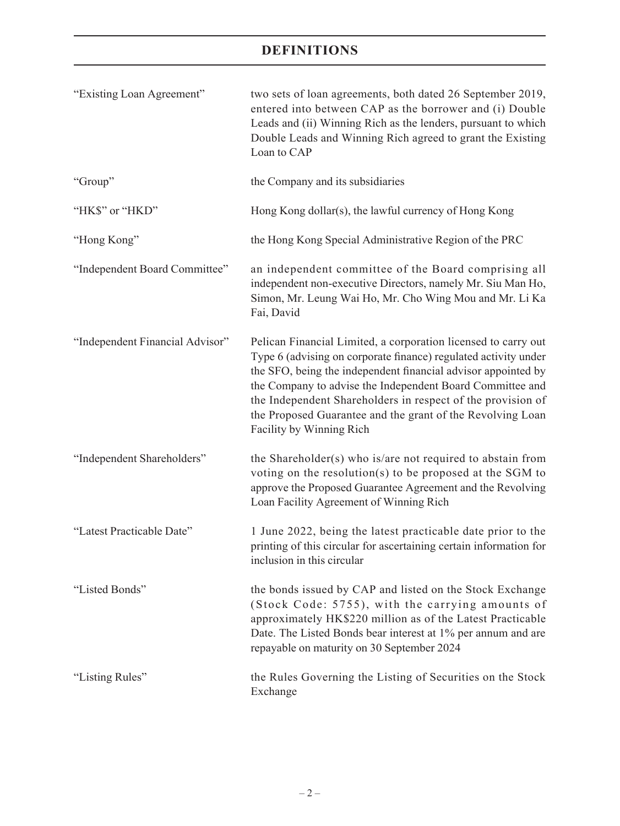| "Existing Loan Agreement"       | two sets of loan agreements, both dated 26 September 2019,<br>entered into between CAP as the borrower and (i) Double<br>Leads and (ii) Winning Rich as the lenders, pursuant to which<br>Double Leads and Winning Rich agreed to grant the Existing<br>Loan to CAP                                                                                                                                                      |
|---------------------------------|--------------------------------------------------------------------------------------------------------------------------------------------------------------------------------------------------------------------------------------------------------------------------------------------------------------------------------------------------------------------------------------------------------------------------|
| "Group"                         | the Company and its subsidiaries                                                                                                                                                                                                                                                                                                                                                                                         |
| "HK\$" or "HKD"                 | Hong Kong dollar(s), the lawful currency of Hong Kong                                                                                                                                                                                                                                                                                                                                                                    |
| "Hong Kong"                     | the Hong Kong Special Administrative Region of the PRC                                                                                                                                                                                                                                                                                                                                                                   |
| "Independent Board Committee"   | an independent committee of the Board comprising all<br>independent non-executive Directors, namely Mr. Siu Man Ho,<br>Simon, Mr. Leung Wai Ho, Mr. Cho Wing Mou and Mr. Li Ka<br>Fai, David                                                                                                                                                                                                                             |
| "Independent Financial Advisor" | Pelican Financial Limited, a corporation licensed to carry out<br>Type 6 (advising on corporate finance) regulated activity under<br>the SFO, being the independent financial advisor appointed by<br>the Company to advise the Independent Board Committee and<br>the Independent Shareholders in respect of the provision of<br>the Proposed Guarantee and the grant of the Revolving Loan<br>Facility by Winning Rich |
| "Independent Shareholders"      | the Shareholder(s) who is/are not required to abstain from<br>voting on the resolution(s) to be proposed at the SGM to<br>approve the Proposed Guarantee Agreement and the Revolving<br>Loan Facility Agreement of Winning Rich                                                                                                                                                                                          |
| "Latest Practicable Date"       | 1 June 2022, being the latest practicable date prior to the<br>printing of this circular for ascertaining certain information for<br>inclusion in this circular                                                                                                                                                                                                                                                          |
| "Listed Bonds"                  | the bonds issued by CAP and listed on the Stock Exchange<br>(Stock Code: 5755), with the carrying amounts of<br>approximately HK\$220 million as of the Latest Practicable<br>Date. The Listed Bonds bear interest at 1% per annum and are<br>repayable on maturity on 30 September 2024                                                                                                                                 |
| "Listing Rules"                 | the Rules Governing the Listing of Securities on the Stock<br>Exchange                                                                                                                                                                                                                                                                                                                                                   |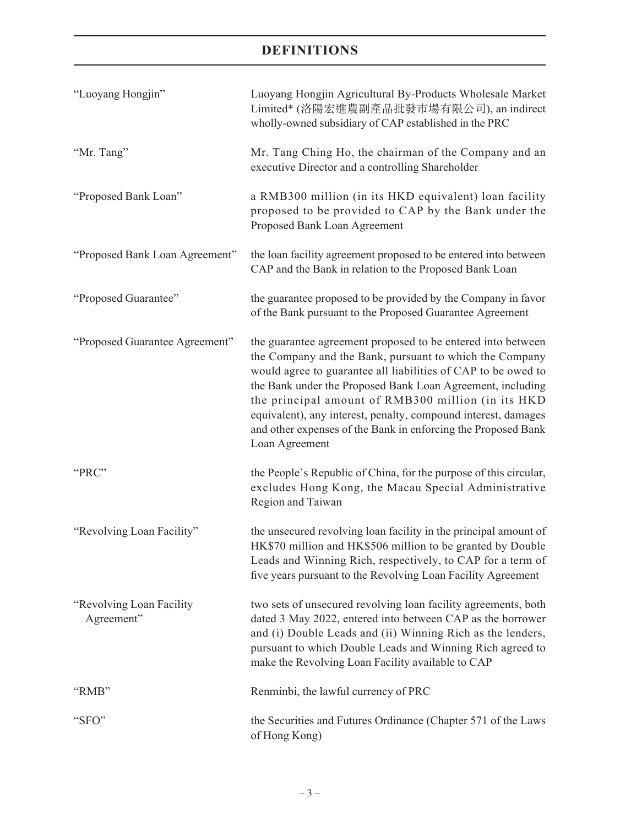| "Luoyang Hongjin"                       | Luoyang Hongjin Agricultural By-Products Wholesale Market<br>Limited* (洛陽宏進農副產品批發市場有限公司), an indirect<br>wholly-owned subsidiary of CAP established in the PRC                                                                                                                                                                                                                                                                                                   |
|-----------------------------------------|------------------------------------------------------------------------------------------------------------------------------------------------------------------------------------------------------------------------------------------------------------------------------------------------------------------------------------------------------------------------------------------------------------------------------------------------------------------|
| "Mr. Tang"                              | Mr. Tang Ching Ho, the chairman of the Company and an<br>executive Director and a controlling Shareholder                                                                                                                                                                                                                                                                                                                                                        |
| "Proposed Bank Loan"                    | a RMB300 million (in its HKD equivalent) loan facility<br>proposed to be provided to CAP by the Bank under the<br>Proposed Bank Loan Agreement                                                                                                                                                                                                                                                                                                                   |
| "Proposed Bank Loan Agreement"          | the loan facility agreement proposed to be entered into between<br>CAP and the Bank in relation to the Proposed Bank Loan                                                                                                                                                                                                                                                                                                                                        |
| "Proposed Guarantee"                    | the guarantee proposed to be provided by the Company in favor<br>of the Bank pursuant to the Proposed Guarantee Agreement                                                                                                                                                                                                                                                                                                                                        |
| "Proposed Guarantee Agreement"          | the guarantee agreement proposed to be entered into between<br>the Company and the Bank, pursuant to which the Company<br>would agree to guarantee all liabilities of CAP to be owed to<br>the Bank under the Proposed Bank Loan Agreement, including<br>the principal amount of RMB300 million (in its HKD<br>equivalent), any interest, penalty, compound interest, damages<br>and other expenses of the Bank in enforcing the Proposed Bank<br>Loan Agreement |
| "PRC"                                   | the People's Republic of China, for the purpose of this circular,<br>excludes Hong Kong, the Macau Special Administrative<br>Region and Taiwan                                                                                                                                                                                                                                                                                                                   |
| "Revolving Loan Facility"               | the unsecured revolving loan facility in the principal amount of<br>HK\$70 million and HK\$506 million to be granted by Double<br>Leads and Winning Rich, respectively, to CAP for a term of<br>five years pursuant to the Revolving Loan Facility Agreement                                                                                                                                                                                                     |
| "Revolving Loan Facility"<br>Agreement" | two sets of unsecured revolving loan facility agreements, both<br>dated 3 May 2022, entered into between CAP as the borrower<br>and (i) Double Leads and (ii) Winning Rich as the lenders,<br>pursuant to which Double Leads and Winning Rich agreed to<br>make the Revolving Loan Facility available to CAP                                                                                                                                                     |
| "RMB"                                   | Renminbi, the lawful currency of PRC                                                                                                                                                                                                                                                                                                                                                                                                                             |
| "SFO"                                   | the Securities and Futures Ordinance (Chapter 571 of the Laws<br>of Hong Kong)                                                                                                                                                                                                                                                                                                                                                                                   |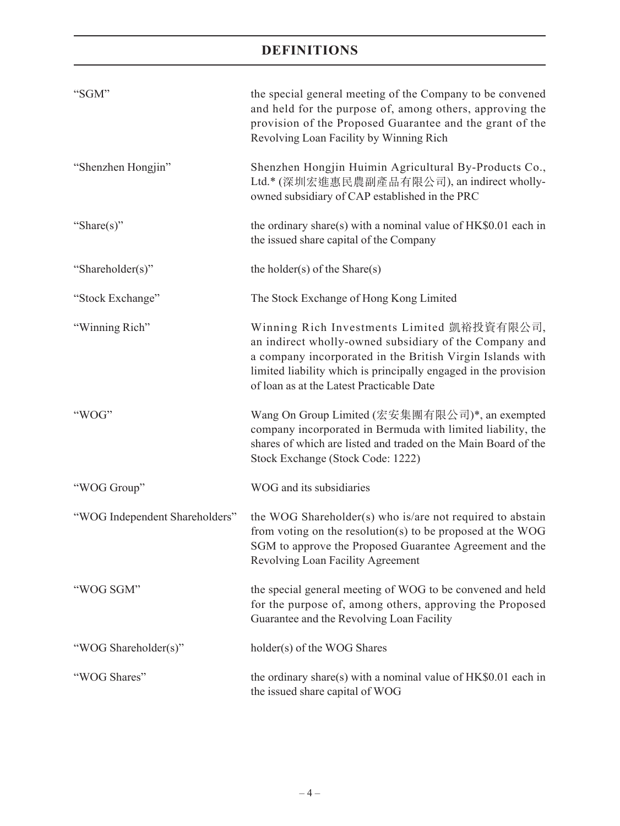| "SGM"                          | the special general meeting of the Company to be convened<br>and held for the purpose of, among others, approving the<br>provision of the Proposed Guarantee and the grant of the<br>Revolving Loan Facility by Winning Rich                                                      |
|--------------------------------|-----------------------------------------------------------------------------------------------------------------------------------------------------------------------------------------------------------------------------------------------------------------------------------|
| "Shenzhen Hongjin"             | Shenzhen Hongjin Huimin Agricultural By-Products Co.,<br>Ltd.* (深圳宏進惠民農副產品有限公司), an indirect wholly-<br>owned subsidiary of CAP established in the PRC                                                                                                                            |
| "Share $(s)$ "                 | the ordinary share(s) with a nominal value of $HK$0.01$ each in<br>the issued share capital of the Company                                                                                                                                                                        |
| "Shareholder(s)"               | the holder(s) of the Share(s)                                                                                                                                                                                                                                                     |
| "Stock Exchange"               | The Stock Exchange of Hong Kong Limited                                                                                                                                                                                                                                           |
| "Winning Rich"                 | Winning Rich Investments Limited 凱裕投資有限公司,<br>an indirect wholly-owned subsidiary of the Company and<br>a company incorporated in the British Virgin Islands with<br>limited liability which is principally engaged in the provision<br>of loan as at the Latest Practicable Date |
| "WOG"                          | Wang On Group Limited (宏安集團有限公司)*, an exempted<br>company incorporated in Bermuda with limited liability, the<br>shares of which are listed and traded on the Main Board of the<br>Stock Exchange (Stock Code: 1222)                                                              |
| "WOG Group"                    | WOG and its subsidiaries                                                                                                                                                                                                                                                          |
| "WOG Independent Shareholders" | the WOG Shareholder(s) who is/are not required to abstain<br>from voting on the resolution(s) to be proposed at the WOG<br>SGM to approve the Proposed Guarantee Agreement and the<br>Revolving Loan Facility Agreement                                                           |
| "WOG SGM"                      | the special general meeting of WOG to be convened and held<br>for the purpose of, among others, approving the Proposed<br>Guarantee and the Revolving Loan Facility                                                                                                               |
| "WOG Shareholder(s)"           | holder(s) of the WOG Shares                                                                                                                                                                                                                                                       |
| "WOG Shares"                   | the ordinary share(s) with a nominal value of $HK$0.01$ each in<br>the issued share capital of WOG                                                                                                                                                                                |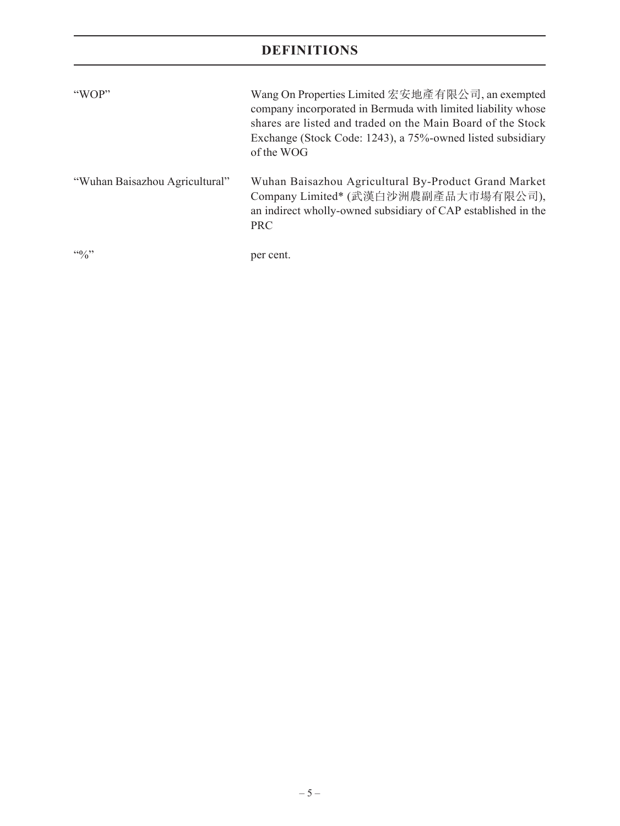| "WOP"                          | Wang On Properties Limited 宏安地產有限公司, an exempted<br>company incorporated in Bermuda with limited liability whose<br>shares are listed and traded on the Main Board of the Stock<br>Exchange (Stock Code: 1243), a 75%-owned listed subsidiary<br>of the WOG |
|--------------------------------|-------------------------------------------------------------------------------------------------------------------------------------------------------------------------------------------------------------------------------------------------------------|
| "Wuhan Baisazhou Agricultural" | Wuhan Baisazhou Agricultural By-Product Grand Market<br>Company Limited* (武漢白沙洲農副產品大市場有限公司),<br>an indirect wholly-owned subsidiary of CAP established in the<br><b>PRC</b>                                                                                 |
| $\frac{100}{2}$                | per cent.                                                                                                                                                                                                                                                   |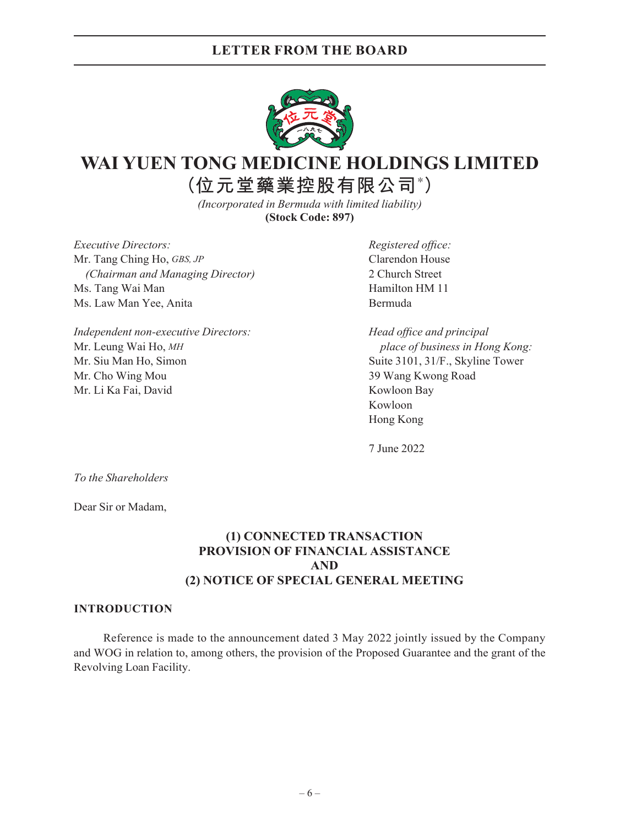

# **WAI YUEN TONG MEDICINE HOLDINGS LIMITED**

**(位元堂藥業控股有限公司\* )**

*(Incorporated in Bermuda with limited liability)* **(Stock Code: 897)**

*Executive Directors: Registered office:* Mr. Tang Ching Ho, *GBS, JP* Clarendon House *(Chairman and Managing Director)* 2 Church Street Ms. Tang Wai Man **Hamilton HM** 11 Ms. Law Man Yee, Anita Bermuda

*Independent non-executive Directors: Head office and principal* Mr. Leung Wai Ho, *MH place of business in Hong Kong:* Mr. Siu Man Ho, Simon Suite 3101, 31/F., Skyline Tower Mr. Cho Wing Mou 39 Wang Kwong Road Mr. Li Ka Fai, David Kowloon Bay

Kowloon Hong Kong

7 June 2022

*To the Shareholders*

Dear Sir or Madam,

## **(1) CONNECTED TRANSACTION PROVISION OF FINANCIAL ASSISTANCE AND (2) NOTICE OF SPECIAL GENERAL MEETING**

#### **INTRODUCTION**

Reference is made to the announcement dated 3 May 2022 jointly issued by the Company and WOG in relation to, among others, the provision of the Proposed Guarantee and the grant of the Revolving Loan Facility.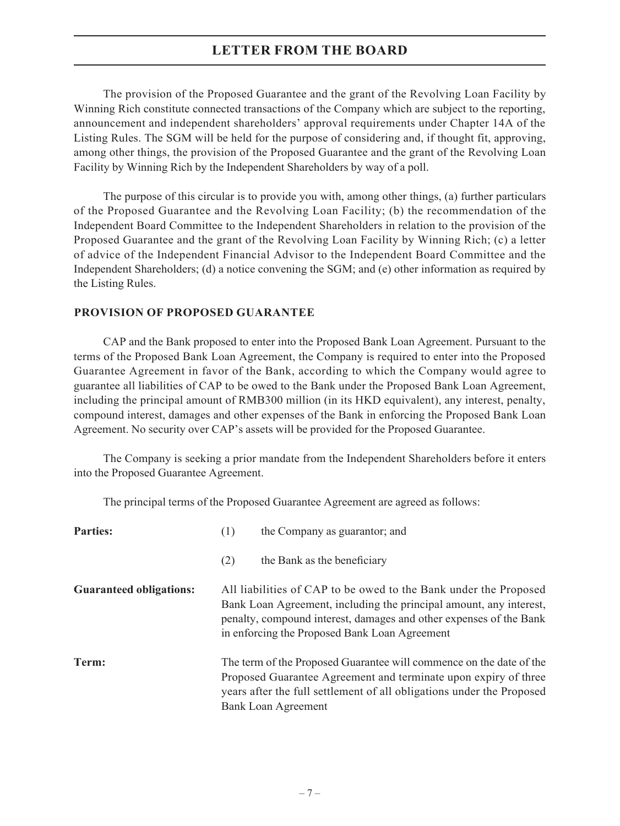The provision of the Proposed Guarantee and the grant of the Revolving Loan Facility by Winning Rich constitute connected transactions of the Company which are subject to the reporting, announcement and independent shareholders' approval requirements under Chapter 14A of the Listing Rules. The SGM will be held for the purpose of considering and, if thought fit, approving, among other things, the provision of the Proposed Guarantee and the grant of the Revolving Loan Facility by Winning Rich by the Independent Shareholders by way of a poll.

The purpose of this circular is to provide you with, among other things, (a) further particulars of the Proposed Guarantee and the Revolving Loan Facility; (b) the recommendation of the Independent Board Committee to the Independent Shareholders in relation to the provision of the Proposed Guarantee and the grant of the Revolving Loan Facility by Winning Rich; (c) a letter of advice of the Independent Financial Advisor to the Independent Board Committee and the Independent Shareholders; (d) a notice convening the SGM; and (e) other information as required by the Listing Rules.

## **PROVISION OF PROPOSED GUARANTEE**

CAP and the Bank proposed to enter into the Proposed Bank Loan Agreement. Pursuant to the terms of the Proposed Bank Loan Agreement, the Company is required to enter into the Proposed Guarantee Agreement in favor of the Bank, according to which the Company would agree to guarantee all liabilities of CAP to be owed to the Bank under the Proposed Bank Loan Agreement, including the principal amount of RMB300 million (in its HKD equivalent), any interest, penalty, compound interest, damages and other expenses of the Bank in enforcing the Proposed Bank Loan Agreement. No security over CAP's assets will be provided for the Proposed Guarantee.

The Company is seeking a prior mandate from the Independent Shareholders before it enters into the Proposed Guarantee Agreement.

The principal terms of the Proposed Guarantee Agreement are agreed as follows:

| <b>Parties:</b>                | (1)                                                                                                                                                                                                                                                           | the Company as guarantor; and                                                                                                                                                                                                                 |  |
|--------------------------------|---------------------------------------------------------------------------------------------------------------------------------------------------------------------------------------------------------------------------------------------------------------|-----------------------------------------------------------------------------------------------------------------------------------------------------------------------------------------------------------------------------------------------|--|
|                                | (2)                                                                                                                                                                                                                                                           | the Bank as the beneficiary                                                                                                                                                                                                                   |  |
| <b>Guaranteed obligations:</b> | All liabilities of CAP to be owed to the Bank under the Proposed<br>Bank Loan Agreement, including the principal amount, any interest,<br>penalty, compound interest, damages and other expenses of the Bank<br>in enforcing the Proposed Bank Loan Agreement |                                                                                                                                                                                                                                               |  |
| Term:                          |                                                                                                                                                                                                                                                               | The term of the Proposed Guarantee will commence on the date of the<br>Proposed Guarantee Agreement and terminate upon expiry of three<br>years after the full settlement of all obligations under the Proposed<br><b>Bank Loan Agreement</b> |  |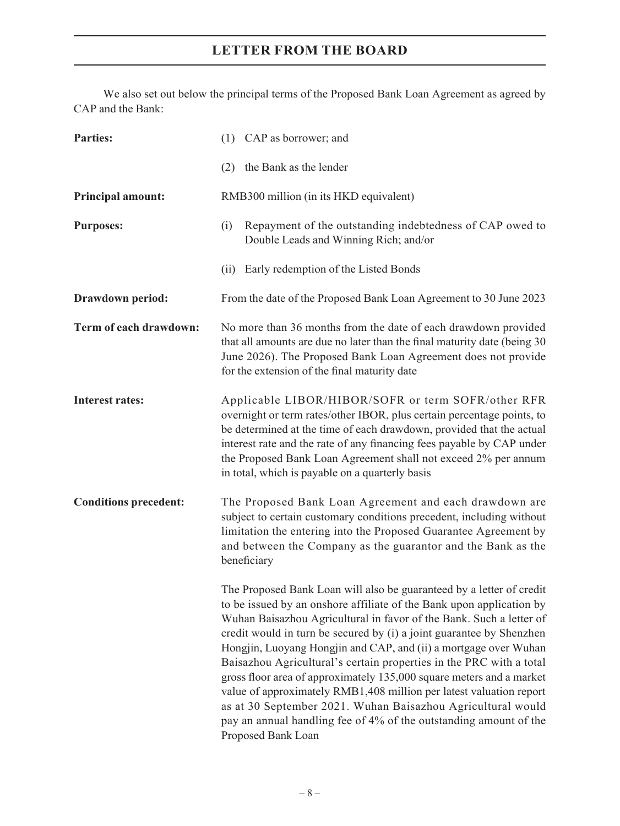We also set out below the principal terms of the Proposed Bank Loan Agreement as agreed by CAP and the Bank:

| <b>Parties:</b>              | (1) CAP as borrower; and                                                                                                                                                                                                                                                                                                                                                                                                                                                                                                                                                                                                                                                                                                                        |  |  |  |
|------------------------------|-------------------------------------------------------------------------------------------------------------------------------------------------------------------------------------------------------------------------------------------------------------------------------------------------------------------------------------------------------------------------------------------------------------------------------------------------------------------------------------------------------------------------------------------------------------------------------------------------------------------------------------------------------------------------------------------------------------------------------------------------|--|--|--|
|                              | the Bank as the lender<br>(2)                                                                                                                                                                                                                                                                                                                                                                                                                                                                                                                                                                                                                                                                                                                   |  |  |  |
| <b>Principal amount:</b>     | RMB300 million (in its HKD equivalent)                                                                                                                                                                                                                                                                                                                                                                                                                                                                                                                                                                                                                                                                                                          |  |  |  |
| <b>Purposes:</b>             | Repayment of the outstanding indebtedness of CAP owed to<br>(i)<br>Double Leads and Winning Rich; and/or                                                                                                                                                                                                                                                                                                                                                                                                                                                                                                                                                                                                                                        |  |  |  |
|                              | Early redemption of the Listed Bonds<br>(ii)                                                                                                                                                                                                                                                                                                                                                                                                                                                                                                                                                                                                                                                                                                    |  |  |  |
| Drawdown period:             | From the date of the Proposed Bank Loan Agreement to 30 June 2023                                                                                                                                                                                                                                                                                                                                                                                                                                                                                                                                                                                                                                                                               |  |  |  |
| Term of each drawdown:       | No more than 36 months from the date of each drawdown provided<br>that all amounts are due no later than the final maturity date (being 30<br>June 2026). The Proposed Bank Loan Agreement does not provide<br>for the extension of the final maturity date                                                                                                                                                                                                                                                                                                                                                                                                                                                                                     |  |  |  |
| <b>Interest rates:</b>       | Applicable LIBOR/HIBOR/SOFR or term SOFR/other RFR<br>overnight or term rates/other IBOR, plus certain percentage points, to<br>be determined at the time of each drawdown, provided that the actual<br>interest rate and the rate of any financing fees payable by CAP under<br>the Proposed Bank Loan Agreement shall not exceed 2% per annum<br>in total, which is payable on a quarterly basis                                                                                                                                                                                                                                                                                                                                              |  |  |  |
| <b>Conditions precedent:</b> | The Proposed Bank Loan Agreement and each drawdown are<br>subject to certain customary conditions precedent, including without<br>limitation the entering into the Proposed Guarantee Agreement by<br>and between the Company as the guarantor and the Bank as the<br>beneficiary                                                                                                                                                                                                                                                                                                                                                                                                                                                               |  |  |  |
|                              | The Proposed Bank Loan will also be guaranteed by a letter of credit<br>to be issued by an onshore affiliate of the Bank upon application by<br>Wuhan Baisazhou Agricultural in favor of the Bank. Such a letter of<br>credit would in turn be secured by (i) a joint guarantee by Shenzhen<br>Hongjin, Luoyang Hongjin and CAP, and (ii) a mortgage over Wuhan<br>Baisazhou Agricultural's certain properties in the PRC with a total<br>gross floor area of approximately 135,000 square meters and a market<br>value of approximately RMB1,408 million per latest valuation report<br>as at 30 September 2021. Wuhan Baisazhou Agricultural would<br>pay an annual handling fee of 4% of the outstanding amount of the<br>Proposed Bank Loan |  |  |  |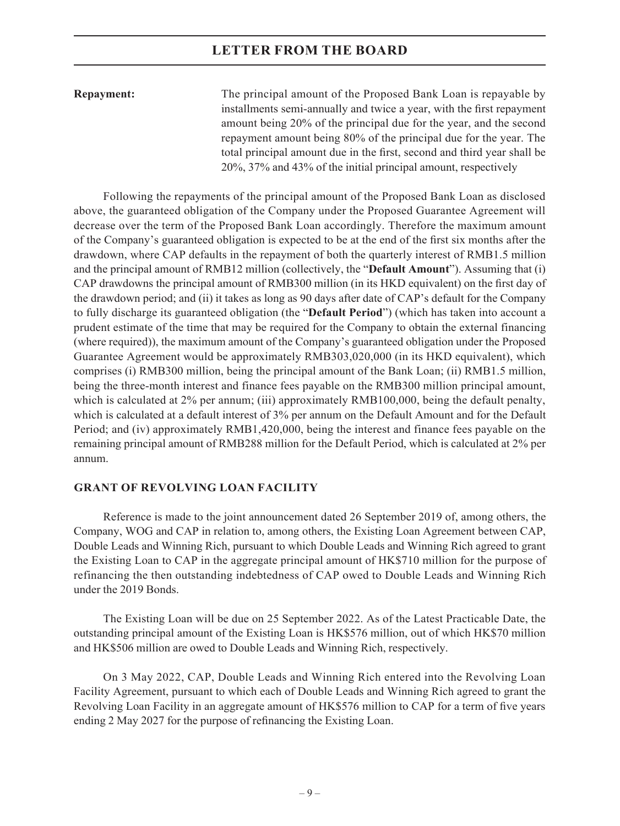**Repayment:** The principal amount of the Proposed Bank Loan is repayable by installments semi-annually and twice a year, with the first repayment amount being 20% of the principal due for the year, and the second repayment amount being 80% of the principal due for the year. The total principal amount due in the first, second and third year shall be 20%, 37% and 43% of the initial principal amount, respectively

Following the repayments of the principal amount of the Proposed Bank Loan as disclosed above, the guaranteed obligation of the Company under the Proposed Guarantee Agreement will decrease over the term of the Proposed Bank Loan accordingly. Therefore the maximum amount of the Company's guaranteed obligation is expected to be at the end of the first six months after the drawdown, where CAP defaults in the repayment of both the quarterly interest of RMB1.5 million and the principal amount of RMB12 million (collectively, the "**Default Amount**"). Assuming that (i) CAP drawdowns the principal amount of RMB300 million (in its HKD equivalent) on the first day of the drawdown period; and (ii) it takes as long as 90 days after date of CAP's default for the Company to fully discharge its guaranteed obligation (the "**Default Period**") (which has taken into account a prudent estimate of the time that may be required for the Company to obtain the external financing (where required)), the maximum amount of the Company's guaranteed obligation under the Proposed Guarantee Agreement would be approximately RMB303,020,000 (in its HKD equivalent), which comprises (i) RMB300 million, being the principal amount of the Bank Loan; (ii) RMB1.5 million, being the three-month interest and finance fees payable on the RMB300 million principal amount, which is calculated at 2% per annum; (iii) approximately RMB100,000, being the default penalty, which is calculated at a default interest of 3% per annum on the Default Amount and for the Default Period; and (iv) approximately RMB1,420,000, being the interest and finance fees payable on the remaining principal amount of RMB288 million for the Default Period, which is calculated at 2% per annum.

#### **GRANT OF REVOLVING LOAN FACILITY**

Reference is made to the joint announcement dated 26 September 2019 of, among others, the Company, WOG and CAP in relation to, among others, the Existing Loan Agreement between CAP, Double Leads and Winning Rich, pursuant to which Double Leads and Winning Rich agreed to grant the Existing Loan to CAP in the aggregate principal amount of HK\$710 million for the purpose of refinancing the then outstanding indebtedness of CAP owed to Double Leads and Winning Rich under the 2019 Bonds.

The Existing Loan will be due on 25 September 2022. As of the Latest Practicable Date, the outstanding principal amount of the Existing Loan is HK\$576 million, out of which HK\$70 million and HK\$506 million are owed to Double Leads and Winning Rich, respectively.

On 3 May 2022, CAP, Double Leads and Winning Rich entered into the Revolving Loan Facility Agreement, pursuant to which each of Double Leads and Winning Rich agreed to grant the Revolving Loan Facility in an aggregate amount of HK\$576 million to CAP for a term of five years ending 2 May 2027 for the purpose of refinancing the Existing Loan.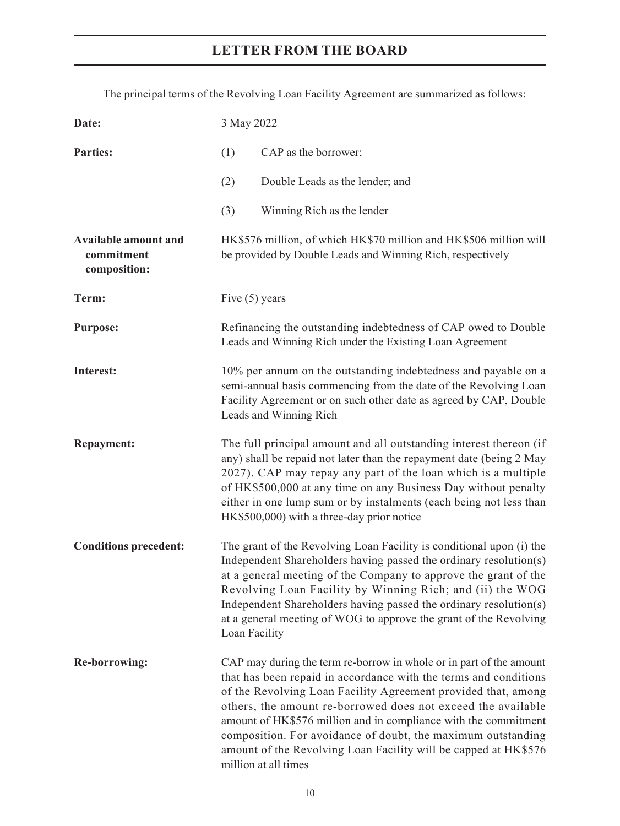The principal terms of the Revolving Loan Facility Agreement are summarized as follows:

| Date:                                                     | 3 May 2022                                                                                                                                                                                                                                                                                                                                                                                                                                                                                             |  |  |
|-----------------------------------------------------------|--------------------------------------------------------------------------------------------------------------------------------------------------------------------------------------------------------------------------------------------------------------------------------------------------------------------------------------------------------------------------------------------------------------------------------------------------------------------------------------------------------|--|--|
| <b>Parties:</b>                                           | (1)<br>CAP as the borrower;                                                                                                                                                                                                                                                                                                                                                                                                                                                                            |  |  |
|                                                           | (2)<br>Double Leads as the lender; and                                                                                                                                                                                                                                                                                                                                                                                                                                                                 |  |  |
|                                                           | Winning Rich as the lender<br>(3)                                                                                                                                                                                                                                                                                                                                                                                                                                                                      |  |  |
| <b>Available amount and</b><br>commitment<br>composition: | HK\$576 million, of which HK\$70 million and HK\$506 million will<br>be provided by Double Leads and Winning Rich, respectively                                                                                                                                                                                                                                                                                                                                                                        |  |  |
| Term:                                                     | Five $(5)$ years                                                                                                                                                                                                                                                                                                                                                                                                                                                                                       |  |  |
| <b>Purpose:</b>                                           | Refinancing the outstanding indebtedness of CAP owed to Double<br>Leads and Winning Rich under the Existing Loan Agreement                                                                                                                                                                                                                                                                                                                                                                             |  |  |
| Interest:                                                 | 10% per annum on the outstanding indebtedness and payable on a<br>semi-annual basis commencing from the date of the Revolving Loan<br>Facility Agreement or on such other date as agreed by CAP, Double<br>Leads and Winning Rich                                                                                                                                                                                                                                                                      |  |  |
| <b>Repayment:</b>                                         | The full principal amount and all outstanding interest thereon (if<br>any) shall be repaid not later than the repayment date (being 2 May<br>2027). CAP may repay any part of the loan which is a multiple<br>of HK\$500,000 at any time on any Business Day without penalty<br>either in one lump sum or by instalments (each being not less than<br>HK\$500,000) with a three-day prior notice                                                                                                       |  |  |
| <b>Conditions precedent:</b>                              | The grant of the Revolving Loan Facility is conditional upon (i) the<br>Independent Shareholders having passed the ordinary resolution(s)<br>at a general meeting of the Company to approve the grant of the<br>Revolving Loan Facility by Winning Rich; and (ii) the WOG<br>Independent Shareholders having passed the ordinary resolution(s)<br>at a general meeting of WOG to approve the grant of the Revolving<br>Loan Facility                                                                   |  |  |
| <b>Re-borrowing:</b>                                      | CAP may during the term re-borrow in whole or in part of the amount<br>that has been repaid in accordance with the terms and conditions<br>of the Revolving Loan Facility Agreement provided that, among<br>others, the amount re-borrowed does not exceed the available<br>amount of HK\$576 million and in compliance with the commitment<br>composition. For avoidance of doubt, the maximum outstanding<br>amount of the Revolving Loan Facility will be capped at HK\$576<br>million at all times |  |  |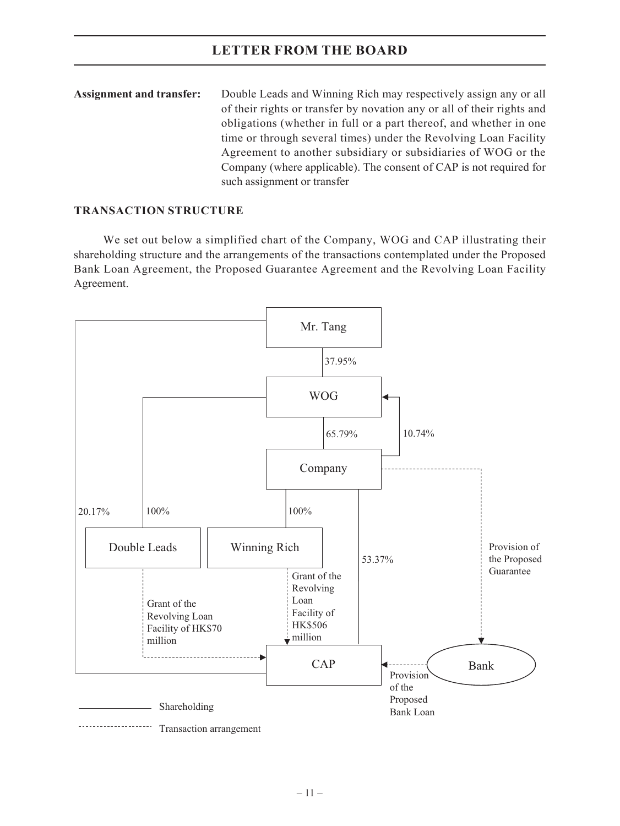| <b>Assignment and transfer:</b> | Double Leads and Winning Rich may respectively assign any or all       |
|---------------------------------|------------------------------------------------------------------------|
|                                 | of their rights or transfer by novation any or all of their rights and |
|                                 | obligations (whether in full or a part thereof, and whether in one     |
|                                 | time or through several times) under the Revolving Loan Facility       |
|                                 | Agreement to another subsidiary or subsidiaries of WOG or the          |
|                                 | Company (where applicable). The consent of CAP is not required for     |
|                                 | such assignment or transfer                                            |

## **TRANSACTION STRUCTURE**

We set out below a simplified chart of the Company, WOG and CAP illustrating their shareholding structure and the arrangements of the transactions contemplated under the Proposed Bank Loan Agreement, the Proposed Guarantee Agreement and the Revolving Loan Facility Agreement.

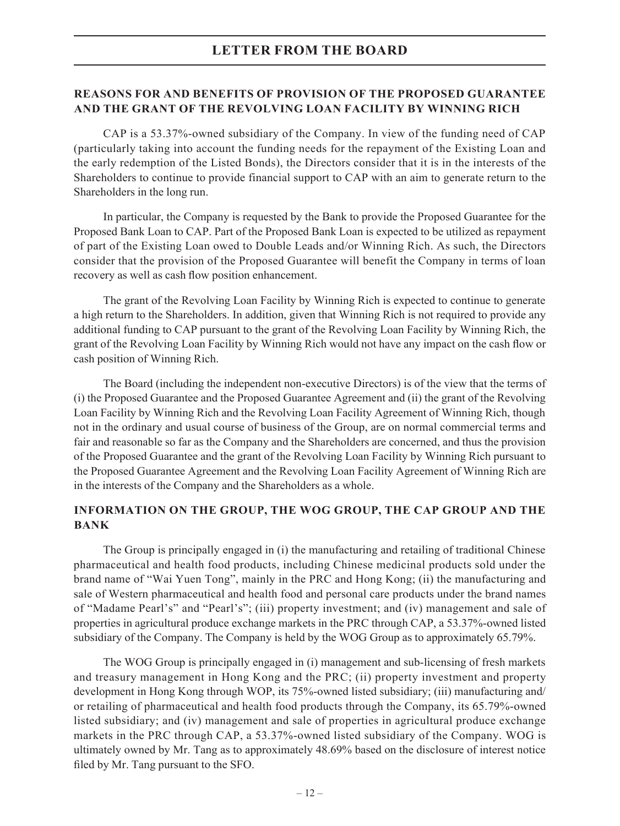## **REASONS FOR AND BENEFITS OF PROVISION OF THE PROPOSED GUARANTEE AND THE GRANT OF THE REVOLVING LOAN FACILITY BY WINNING RICH**

CAP is a 53.37%-owned subsidiary of the Company. In view of the funding need of CAP (particularly taking into account the funding needs for the repayment of the Existing Loan and the early redemption of the Listed Bonds), the Directors consider that it is in the interests of the Shareholders to continue to provide financial support to CAP with an aim to generate return to the Shareholders in the long run.

In particular, the Company is requested by the Bank to provide the Proposed Guarantee for the Proposed Bank Loan to CAP. Part of the Proposed Bank Loan is expected to be utilized as repayment of part of the Existing Loan owed to Double Leads and/or Winning Rich. As such, the Directors consider that the provision of the Proposed Guarantee will benefit the Company in terms of loan recovery as well as cash flow position enhancement.

The grant of the Revolving Loan Facility by Winning Rich is expected to continue to generate a high return to the Shareholders. In addition, given that Winning Rich is not required to provide any additional funding to CAP pursuant to the grant of the Revolving Loan Facility by Winning Rich, the grant of the Revolving Loan Facility by Winning Rich would not have any impact on the cash flow or cash position of Winning Rich.

The Board (including the independent non-executive Directors) is of the view that the terms of (i) the Proposed Guarantee and the Proposed Guarantee Agreement and (ii) the grant of the Revolving Loan Facility by Winning Rich and the Revolving Loan Facility Agreement of Winning Rich, though not in the ordinary and usual course of business of the Group, are on normal commercial terms and fair and reasonable so far as the Company and the Shareholders are concerned, and thus the provision of the Proposed Guarantee and the grant of the Revolving Loan Facility by Winning Rich pursuant to the Proposed Guarantee Agreement and the Revolving Loan Facility Agreement of Winning Rich are in the interests of the Company and the Shareholders as a whole.

## **INFORMATION ON THE GROUP, THE WOG GROUP, THE CAP GROUP AND THE BANK**

The Group is principally engaged in (i) the manufacturing and retailing of traditional Chinese pharmaceutical and health food products, including Chinese medicinal products sold under the brand name of "Wai Yuen Tong", mainly in the PRC and Hong Kong; (ii) the manufacturing and sale of Western pharmaceutical and health food and personal care products under the brand names of "Madame Pearl's" and "Pearl's"; (iii) property investment; and (iv) management and sale of properties in agricultural produce exchange markets in the PRC through CAP, a 53.37%-owned listed subsidiary of the Company. The Company is held by the WOG Group as to approximately 65.79%.

The WOG Group is principally engaged in (i) management and sub-licensing of fresh markets and treasury management in Hong Kong and the PRC; (ii) property investment and property development in Hong Kong through WOP, its 75%-owned listed subsidiary; (iii) manufacturing and/ or retailing of pharmaceutical and health food products through the Company, its 65.79%-owned listed subsidiary; and (iv) management and sale of properties in agricultural produce exchange markets in the PRC through CAP, a 53.37%-owned listed subsidiary of the Company. WOG is ultimately owned by Mr. Tang as to approximately 48.69% based on the disclosure of interest notice filed by Mr. Tang pursuant to the SFO.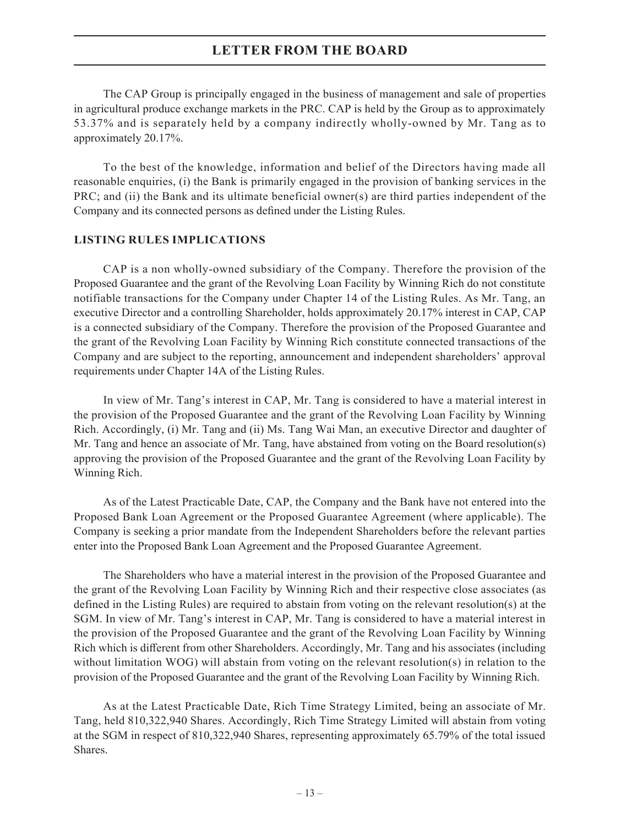The CAP Group is principally engaged in the business of management and sale of properties in agricultural produce exchange markets in the PRC. CAP is held by the Group as to approximately 53.37% and is separately held by a company indirectly wholly-owned by Mr. Tang as to approximately 20.17%.

To the best of the knowledge, information and belief of the Directors having made all reasonable enquiries, (i) the Bank is primarily engaged in the provision of banking services in the PRC; and (ii) the Bank and its ultimate beneficial owner(s) are third parties independent of the Company and its connected persons as defined under the Listing Rules.

### **LISTING RULES IMPLICATIONS**

CAP is a non wholly-owned subsidiary of the Company. Therefore the provision of the Proposed Guarantee and the grant of the Revolving Loan Facility by Winning Rich do not constitute notifiable transactions for the Company under Chapter 14 of the Listing Rules. As Mr. Tang, an executive Director and a controlling Shareholder, holds approximately 20.17% interest in CAP, CAP is a connected subsidiary of the Company. Therefore the provision of the Proposed Guarantee and the grant of the Revolving Loan Facility by Winning Rich constitute connected transactions of the Company and are subject to the reporting, announcement and independent shareholders' approval requirements under Chapter 14A of the Listing Rules.

In view of Mr. Tang's interest in CAP, Mr. Tang is considered to have a material interest in the provision of the Proposed Guarantee and the grant of the Revolving Loan Facility by Winning Rich. Accordingly, (i) Mr. Tang and (ii) Ms. Tang Wai Man, an executive Director and daughter of Mr. Tang and hence an associate of Mr. Tang, have abstained from voting on the Board resolution(s) approving the provision of the Proposed Guarantee and the grant of the Revolving Loan Facility by Winning Rich.

As of the Latest Practicable Date, CAP, the Company and the Bank have not entered into the Proposed Bank Loan Agreement or the Proposed Guarantee Agreement (where applicable). The Company is seeking a prior mandate from the Independent Shareholders before the relevant parties enter into the Proposed Bank Loan Agreement and the Proposed Guarantee Agreement.

The Shareholders who have a material interest in the provision of the Proposed Guarantee and the grant of the Revolving Loan Facility by Winning Rich and their respective close associates (as defined in the Listing Rules) are required to abstain from voting on the relevant resolution(s) at the SGM. In view of Mr. Tang's interest in CAP, Mr. Tang is considered to have a material interest in the provision of the Proposed Guarantee and the grant of the Revolving Loan Facility by Winning Rich which is different from other Shareholders. Accordingly, Mr. Tang and his associates (including without limitation WOG) will abstain from voting on the relevant resolution(s) in relation to the provision of the Proposed Guarantee and the grant of the Revolving Loan Facility by Winning Rich.

As at the Latest Practicable Date, Rich Time Strategy Limited, being an associate of Mr. Tang, held 810,322,940 Shares. Accordingly, Rich Time Strategy Limited will abstain from voting at the SGM in respect of 810,322,940 Shares, representing approximately 65.79% of the total issued Shares.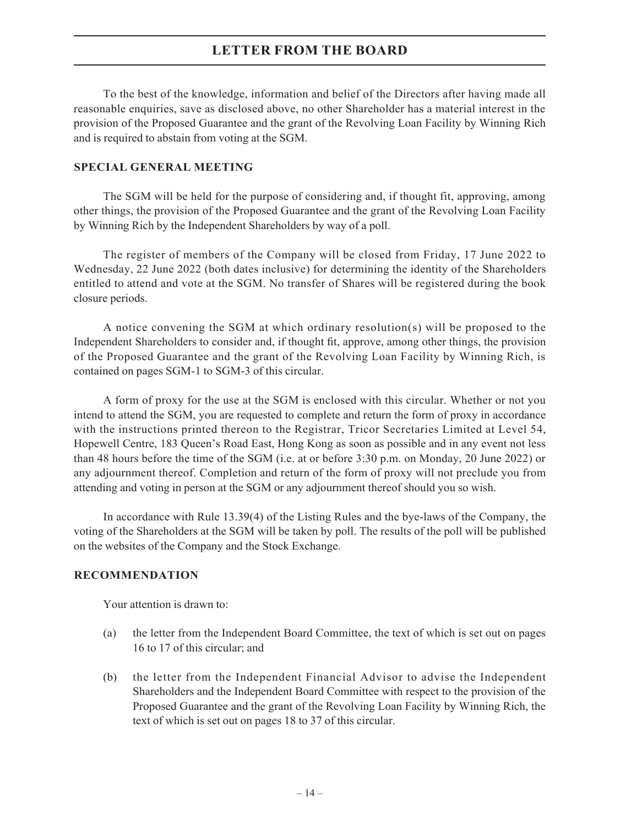To the best of the knowledge, information and belief of the Directors after having made all reasonable enquiries, save as disclosed above, no other Shareholder has a material interest in the provision of the Proposed Guarantee and the grant of the Revolving Loan Facility by Winning Rich and is required to abstain from voting at the SGM.

## **SPECIAL GENERAL MEETING**

The SGM will be held for the purpose of considering and, if thought fit, approving, among other things, the provision of the Proposed Guarantee and the grant of the Revolving Loan Facility by Winning Rich by the Independent Shareholders by way of a poll.

The register of members of the Company will be closed from Friday, 17 June 2022 to Wednesday, 22 June 2022 (both dates inclusive) for determining the identity of the Shareholders entitled to attend and vote at the SGM. No transfer of Shares will be registered during the book closure periods.

A notice convening the SGM at which ordinary resolution(s) will be proposed to the Independent Shareholders to consider and, if thought fit, approve, among other things, the provision of the Proposed Guarantee and the grant of the Revolving Loan Facility by Winning Rich, is contained on pages SGM-1 to SGM-3 of this circular.

A form of proxy for the use at the SGM is enclosed with this circular. Whether or not you intend to attend the SGM, you are requested to complete and return the form of proxy in accordance with the instructions printed thereon to the Registrar, Tricor Secretaries Limited at Level 54, Hopewell Centre, 183 Queen's Road East, Hong Kong as soon as possible and in any event not less than 48 hours before the time of the SGM (i.e. at or before 3:30 p.m. on Monday, 20 June 2022) or any adjournment thereof. Completion and return of the form of proxy will not preclude you from attending and voting in person at the SGM or any adjournment thereof should you so wish.

In accordance with Rule 13.39(4) of the Listing Rules and the bye-laws of the Company, the voting of the Shareholders at the SGM will be taken by poll. The results of the poll will be published on the websites of the Company and the Stock Exchange.

#### **RECOMMENDATION**

Your attention is drawn to:

- (a) the letter from the Independent Board Committee, the text of which is set out on pages 16 to 17 of this circular; and
- (b) the letter from the Independent Financial Advisor to advise the Independent Shareholders and the Independent Board Committee with respect to the provision of the Proposed Guarantee and the grant of the Revolving Loan Facility by Winning Rich, the text of which is set out on pages 18 to 37 of this circular.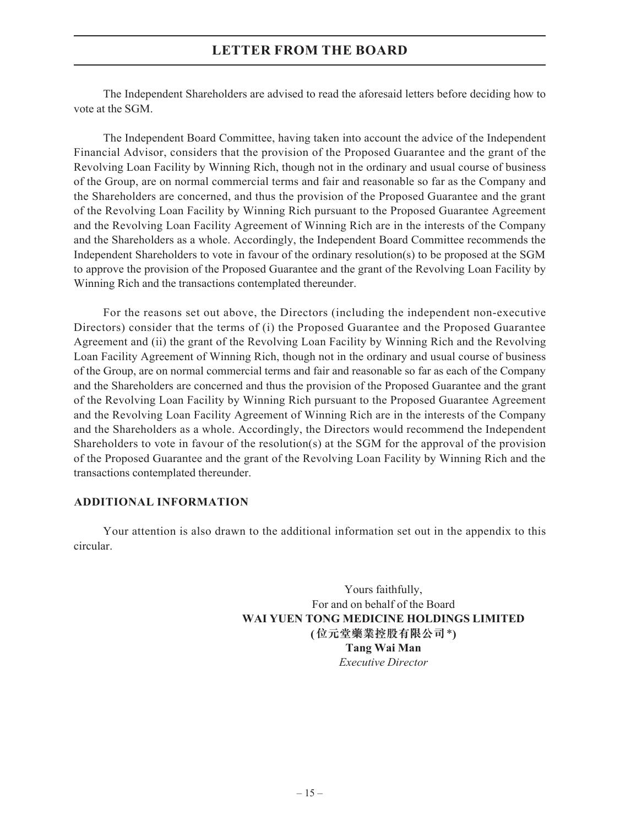The Independent Shareholders are advised to read the aforesaid letters before deciding how to vote at the SGM.

The Independent Board Committee, having taken into account the advice of the Independent Financial Advisor, considers that the provision of the Proposed Guarantee and the grant of the Revolving Loan Facility by Winning Rich, though not in the ordinary and usual course of business of the Group, are on normal commercial terms and fair and reasonable so far as the Company and the Shareholders are concerned, and thus the provision of the Proposed Guarantee and the grant of the Revolving Loan Facility by Winning Rich pursuant to the Proposed Guarantee Agreement and the Revolving Loan Facility Agreement of Winning Rich are in the interests of the Company and the Shareholders as a whole. Accordingly, the Independent Board Committee recommends the Independent Shareholders to vote in favour of the ordinary resolution(s) to be proposed at the SGM to approve the provision of the Proposed Guarantee and the grant of the Revolving Loan Facility by Winning Rich and the transactions contemplated thereunder.

For the reasons set out above, the Directors (including the independent non-executive Directors) consider that the terms of (i) the Proposed Guarantee and the Proposed Guarantee Agreement and (ii) the grant of the Revolving Loan Facility by Winning Rich and the Revolving Loan Facility Agreement of Winning Rich, though not in the ordinary and usual course of business of the Group, are on normal commercial terms and fair and reasonable so far as each of the Company and the Shareholders are concerned and thus the provision of the Proposed Guarantee and the grant of the Revolving Loan Facility by Winning Rich pursuant to the Proposed Guarantee Agreement and the Revolving Loan Facility Agreement of Winning Rich are in the interests of the Company and the Shareholders as a whole. Accordingly, the Directors would recommend the Independent Shareholders to vote in favour of the resolution(s) at the SGM for the approval of the provision of the Proposed Guarantee and the grant of the Revolving Loan Facility by Winning Rich and the transactions contemplated thereunder.

#### **ADDITIONAL INFORMATION**

Your attention is also drawn to the additional information set out in the appendix to this circular.

> Yours faithfully, For and on behalf of the Board **WAI YUEN TONG MEDICINE HOLDINGS LIMITED (位元堂藥業控股有限公司**\***) Tang Wai Man** *Executive Director*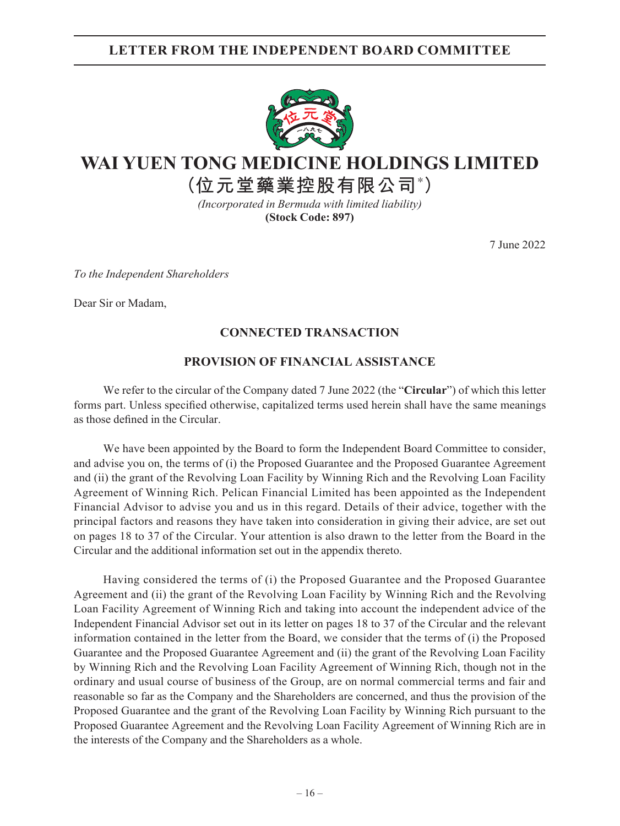## **LETTER FROM THE INDEPENDENT BOARD COMMITTEE**



# **WAI YUEN TONG MEDICINE HOLDINGS LIMITED**

**(位元堂藥業控股有限公司\* )**

*(Incorporated in Bermuda with limited liability)* **(Stock Code: 897)**

7 June 2022

*To the Independent Shareholders*

Dear Sir or Madam,

## **CONNECTED TRANSACTION**

## **PROVISION OF FINANCIAL ASSISTANCE**

We refer to the circular of the Company dated 7 June 2022 (the "**Circular**") of which this letter forms part. Unless specified otherwise, capitalized terms used herein shall have the same meanings as those defined in the Circular.

We have been appointed by the Board to form the Independent Board Committee to consider, and advise you on, the terms of (i) the Proposed Guarantee and the Proposed Guarantee Agreement and (ii) the grant of the Revolving Loan Facility by Winning Rich and the Revolving Loan Facility Agreement of Winning Rich. Pelican Financial Limited has been appointed as the Independent Financial Advisor to advise you and us in this regard. Details of their advice, together with the principal factors and reasons they have taken into consideration in giving their advice, are set out on pages 18 to 37 of the Circular. Your attention is also drawn to the letter from the Board in the Circular and the additional information set out in the appendix thereto.

Having considered the terms of (i) the Proposed Guarantee and the Proposed Guarantee Agreement and (ii) the grant of the Revolving Loan Facility by Winning Rich and the Revolving Loan Facility Agreement of Winning Rich and taking into account the independent advice of the Independent Financial Advisor set out in its letter on pages 18 to 37 of the Circular and the relevant information contained in the letter from the Board, we consider that the terms of (i) the Proposed Guarantee and the Proposed Guarantee Agreement and (ii) the grant of the Revolving Loan Facility by Winning Rich and the Revolving Loan Facility Agreement of Winning Rich, though not in the ordinary and usual course of business of the Group, are on normal commercial terms and fair and reasonable so far as the Company and the Shareholders are concerned, and thus the provision of the Proposed Guarantee and the grant of the Revolving Loan Facility by Winning Rich pursuant to the Proposed Guarantee Agreement and the Revolving Loan Facility Agreement of Winning Rich are in the interests of the Company and the Shareholders as a whole.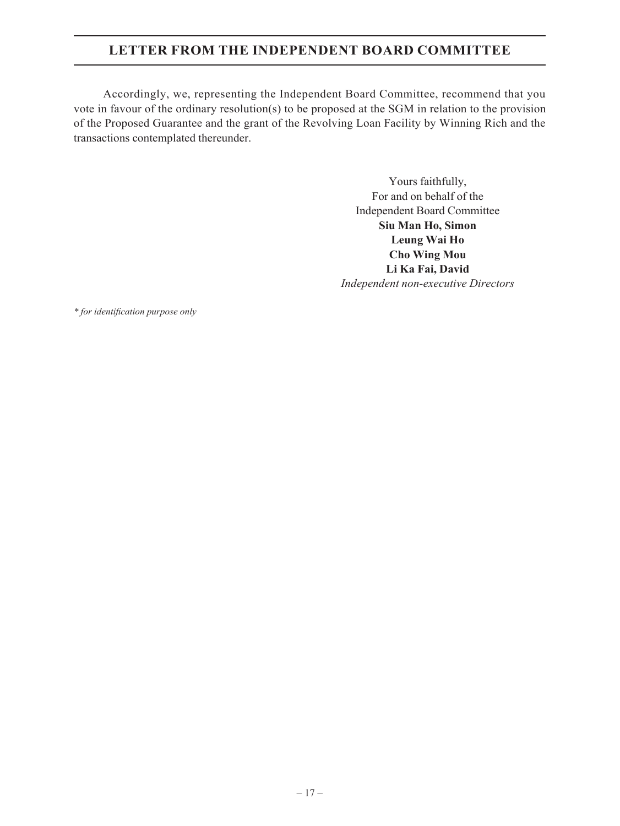## **LETTER FROM THE INDEPENDENT BOARD COMMITTEE**

Accordingly, we, representing the Independent Board Committee, recommend that you vote in favour of the ordinary resolution(s) to be proposed at the SGM in relation to the provision of the Proposed Guarantee and the grant of the Revolving Loan Facility by Winning Rich and the transactions contemplated thereunder.

> Yours faithfully, For and on behalf of the Independent Board Committee **Siu Man Ho, Simon Leung Wai Ho Cho Wing Mou Li Ka Fai, David** *Independent non-executive Directors*

*\* for identification purpose only*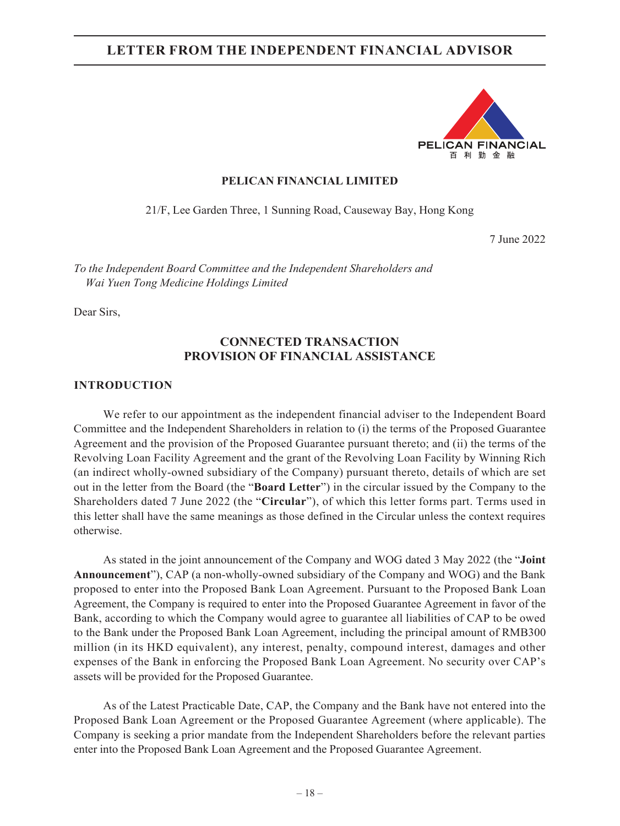

#### **PELICAN FINANCIAL LIMITED**

21/F, Lee Garden Three, 1 Sunning Road, Causeway Bay, Hong Kong

7 June 2022

*To the Independent Board Committee and the Independent Shareholders and Wai Yuen Tong Medicine Holdings Limited*

Dear Sirs,

## **CONNECTED TRANSACTION PROVISION OF FINANCIAL ASSISTANCE**

#### **INTRODUCTION**

We refer to our appointment as the independent financial adviser to the Independent Board Committee and the Independent Shareholders in relation to (i) the terms of the Proposed Guarantee Agreement and the provision of the Proposed Guarantee pursuant thereto; and (ii) the terms of the Revolving Loan Facility Agreement and the grant of the Revolving Loan Facility by Winning Rich (an indirect wholly-owned subsidiary of the Company) pursuant thereto, details of which are set out in the letter from the Board (the "**Board Letter**") in the circular issued by the Company to the Shareholders dated 7 June 2022 (the "**Circular**"), of which this letter forms part. Terms used in this letter shall have the same meanings as those defined in the Circular unless the context requires otherwise.

As stated in the joint announcement of the Company and WOG dated 3 May 2022 (the "**Joint Announcement**"), CAP (a non-wholly-owned subsidiary of the Company and WOG) and the Bank proposed to enter into the Proposed Bank Loan Agreement. Pursuant to the Proposed Bank Loan Agreement, the Company is required to enter into the Proposed Guarantee Agreement in favor of the Bank, according to which the Company would agree to guarantee all liabilities of CAP to be owed to the Bank under the Proposed Bank Loan Agreement, including the principal amount of RMB300 million (in its HKD equivalent), any interest, penalty, compound interest, damages and other expenses of the Bank in enforcing the Proposed Bank Loan Agreement. No security over CAP's assets will be provided for the Proposed Guarantee.

As of the Latest Practicable Date, CAP, the Company and the Bank have not entered into the Proposed Bank Loan Agreement or the Proposed Guarantee Agreement (where applicable). The Company is seeking a prior mandate from the Independent Shareholders before the relevant parties enter into the Proposed Bank Loan Agreement and the Proposed Guarantee Agreement.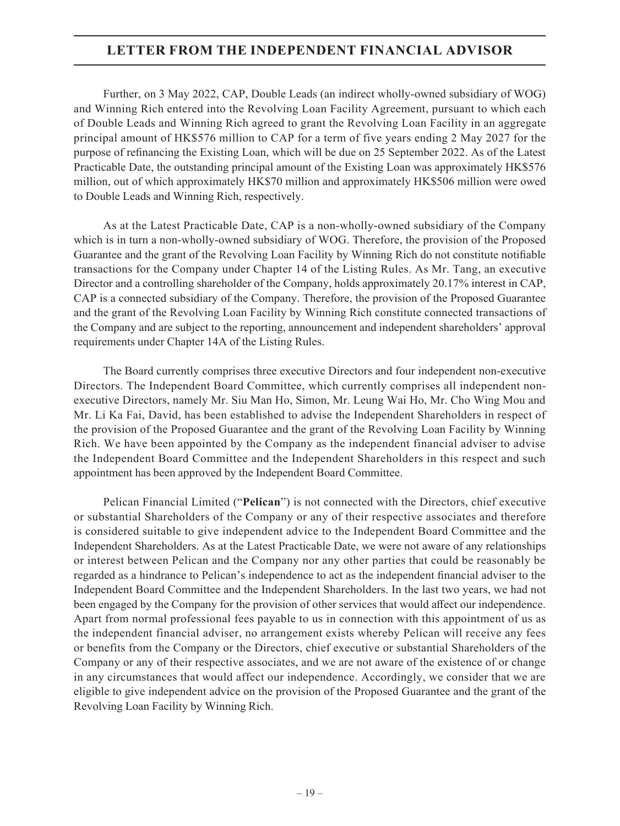Further, on 3 May 2022, CAP, Double Leads (an indirect wholly-owned subsidiary of WOG) and Winning Rich entered into the Revolving Loan Facility Agreement, pursuant to which each of Double Leads and Winning Rich agreed to grant the Revolving Loan Facility in an aggregate principal amount of HK\$576 million to CAP for a term of five years ending 2 May 2027 for the purpose of refinancing the Existing Loan, which will be due on 25 September 2022. As of the Latest Practicable Date, the outstanding principal amount of the Existing Loan was approximately HK\$576 million, out of which approximately HK\$70 million and approximately HK\$506 million were owed to Double Leads and Winning Rich, respectively.

As at the Latest Practicable Date, CAP is a non-wholly-owned subsidiary of the Company which is in turn a non-wholly-owned subsidiary of WOG. Therefore, the provision of the Proposed Guarantee and the grant of the Revolving Loan Facility by Winning Rich do not constitute notifiable transactions for the Company under Chapter 14 of the Listing Rules. As Mr. Tang, an executive Director and a controlling shareholder of the Company, holds approximately 20.17% interest in CAP, CAP is a connected subsidiary of the Company. Therefore, the provision of the Proposed Guarantee and the grant of the Revolving Loan Facility by Winning Rich constitute connected transactions of the Company and are subject to the reporting, announcement and independent shareholders' approval requirements under Chapter 14A of the Listing Rules.

The Board currently comprises three executive Directors and four independent non-executive Directors. The Independent Board Committee, which currently comprises all independent nonexecutive Directors, namely Mr. Siu Man Ho, Simon, Mr. Leung Wai Ho, Mr. Cho Wing Mou and Mr. Li Ka Fai, David, has been established to advise the Independent Shareholders in respect of the provision of the Proposed Guarantee and the grant of the Revolving Loan Facility by Winning Rich. We have been appointed by the Company as the independent financial adviser to advise the Independent Board Committee and the Independent Shareholders in this respect and such appointment has been approved by the Independent Board Committee.

Pelican Financial Limited ("**Pelican**") is not connected with the Directors, chief executive or substantial Shareholders of the Company or any of their respective associates and therefore is considered suitable to give independent advice to the Independent Board Committee and the Independent Shareholders. As at the Latest Practicable Date, we were not aware of any relationships or interest between Pelican and the Company nor any other parties that could be reasonably be regarded as a hindrance to Pelican's independence to act as the independent financial adviser to the Independent Board Committee and the Independent Shareholders. In the last two years, we had not been engaged by the Company for the provision of other services that would affect our independence. Apart from normal professional fees payable to us in connection with this appointment of us as the independent financial adviser, no arrangement exists whereby Pelican will receive any fees or benefits from the Company or the Directors, chief executive or substantial Shareholders of the Company or any of their respective associates, and we are not aware of the existence of or change in any circumstances that would affect our independence. Accordingly, we consider that we are eligible to give independent advice on the provision of the Proposed Guarantee and the grant of the Revolving Loan Facility by Winning Rich.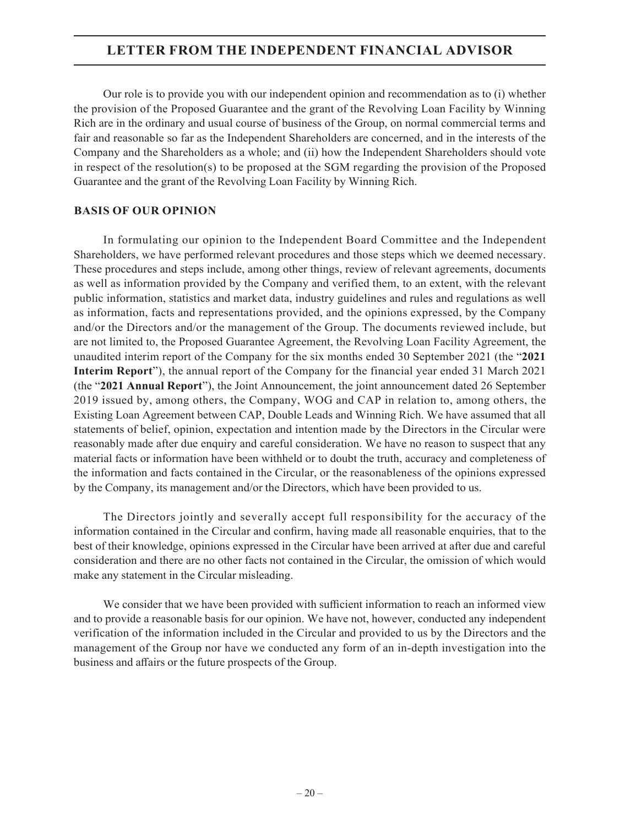Our role is to provide you with our independent opinion and recommendation as to (i) whether the provision of the Proposed Guarantee and the grant of the Revolving Loan Facility by Winning Rich are in the ordinary and usual course of business of the Group, on normal commercial terms and fair and reasonable so far as the Independent Shareholders are concerned, and in the interests of the Company and the Shareholders as a whole; and (ii) how the Independent Shareholders should vote in respect of the resolution(s) to be proposed at the SGM regarding the provision of the Proposed Guarantee and the grant of the Revolving Loan Facility by Winning Rich.

## **BASIS OF OUR OPINION**

In formulating our opinion to the Independent Board Committee and the Independent Shareholders, we have performed relevant procedures and those steps which we deemed necessary. These procedures and steps include, among other things, review of relevant agreements, documents as well as information provided by the Company and verified them, to an extent, with the relevant public information, statistics and market data, industry guidelines and rules and regulations as well as information, facts and representations provided, and the opinions expressed, by the Company and/or the Directors and/or the management of the Group. The documents reviewed include, but are not limited to, the Proposed Guarantee Agreement, the Revolving Loan Facility Agreement, the unaudited interim report of the Company for the six months ended 30 September 2021 (the "**2021 Interim Report**"), the annual report of the Company for the financial year ended 31 March 2021 (the "**2021 Annual Report**"), the Joint Announcement, the joint announcement dated 26 September 2019 issued by, among others, the Company, WOG and CAP in relation to, among others, the Existing Loan Agreement between CAP, Double Leads and Winning Rich. We have assumed that all statements of belief, opinion, expectation and intention made by the Directors in the Circular were reasonably made after due enquiry and careful consideration. We have no reason to suspect that any material facts or information have been withheld or to doubt the truth, accuracy and completeness of the information and facts contained in the Circular, or the reasonableness of the opinions expressed by the Company, its management and/or the Directors, which have been provided to us.

The Directors jointly and severally accept full responsibility for the accuracy of the information contained in the Circular and confirm, having made all reasonable enquiries, that to the best of their knowledge, opinions expressed in the Circular have been arrived at after due and careful consideration and there are no other facts not contained in the Circular, the omission of which would make any statement in the Circular misleading.

We consider that we have been provided with sufficient information to reach an informed view and to provide a reasonable basis for our opinion. We have not, however, conducted any independent verification of the information included in the Circular and provided to us by the Directors and the management of the Group nor have we conducted any form of an in-depth investigation into the business and affairs or the future prospects of the Group.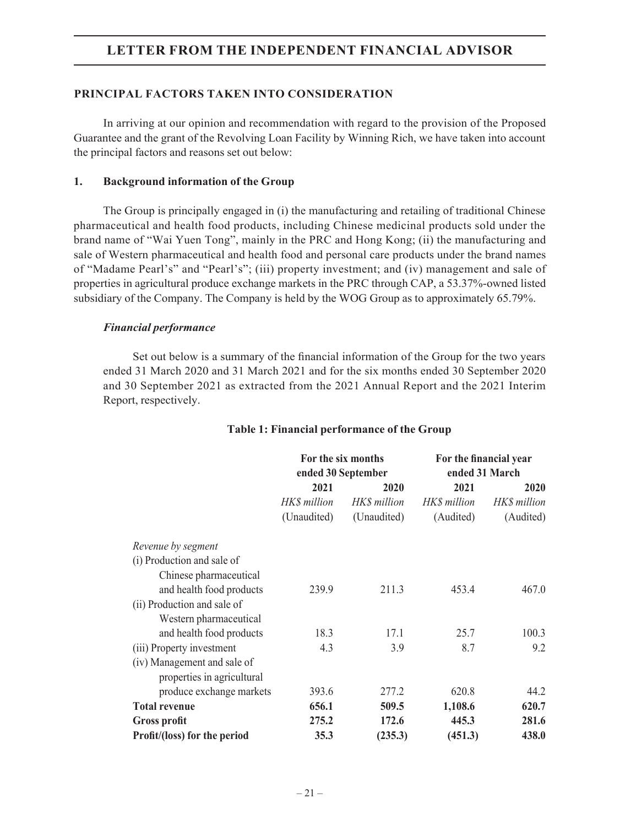## **PRINCIPAL FACTORS TAKEN INTO CONSIDERATION**

In arriving at our opinion and recommendation with regard to the provision of the Proposed Guarantee and the grant of the Revolving Loan Facility by Winning Rich, we have taken into account the principal factors and reasons set out below:

#### **1. Background information of the Group**

The Group is principally engaged in (i) the manufacturing and retailing of traditional Chinese pharmaceutical and health food products, including Chinese medicinal products sold under the brand name of "Wai Yuen Tong", mainly in the PRC and Hong Kong; (ii) the manufacturing and sale of Western pharmaceutical and health food and personal care products under the brand names of "Madame Pearl's" and "Pearl's"; (iii) property investment; and (iv) management and sale of properties in agricultural produce exchange markets in the PRC through CAP, a 53.37%-owned listed subsidiary of the Company. The Company is held by the WOG Group as to approximately 65.79%.

## *Financial performance*

Set out below is a summary of the financial information of the Group for the two years ended 31 March 2020 and 31 March 2021 and for the six months ended 30 September 2020 and 30 September 2021 as extracted from the 2021 Annual Report and the 2021 Interim Report, respectively.

|                              | For the six months<br>ended 30 September |              | For the financial year<br>ended 31 March |              |
|------------------------------|------------------------------------------|--------------|------------------------------------------|--------------|
|                              | 2021                                     | 2020         | 2021                                     | 2020         |
|                              | HK\$ million                             | HK\$ million | HK\$ million                             | HK\$ million |
|                              | (Unaudited)                              | (Unaudited)  | (Audited)                                | (Audited)    |
| Revenue by segment           |                                          |              |                                          |              |
| (i) Production and sale of   |                                          |              |                                          |              |
| Chinese pharmaceutical       |                                          |              |                                          |              |
| and health food products     | 239.9                                    | 211.3        | 453.4                                    | 467.0        |
| (ii) Production and sale of  |                                          |              |                                          |              |
| Western pharmaceutical       |                                          |              |                                          |              |
| and health food products     | 18.3                                     | 17.1         | 25.7                                     | 100.3        |
| (iii) Property investment    | 4.3                                      | 3.9          | 8.7                                      | 9.2          |
| (iv) Management and sale of  |                                          |              |                                          |              |
| properties in agricultural   |                                          |              |                                          |              |
| produce exchange markets     | 393.6                                    | 277.2        | 620.8                                    | 44.2         |
| <b>Total revenue</b>         | 656.1                                    | 509.5        | 1,108.6                                  | 620.7        |
| <b>Gross profit</b>          | 275.2                                    | 172.6        | 445.3                                    | 281.6        |
| Profit/(loss) for the period | 35.3                                     | (235.3)      | (451.3)                                  | 438.0        |

#### **Table 1: Financial performance of the Group**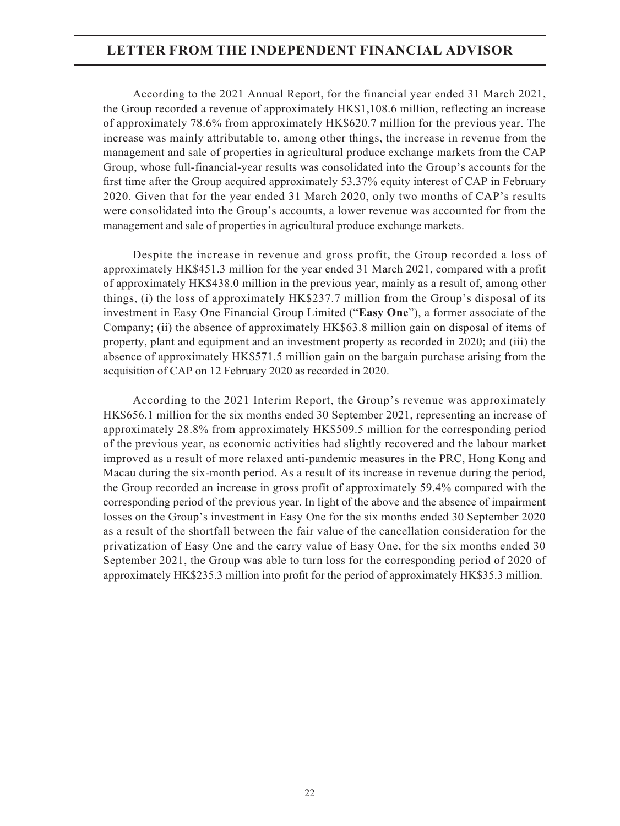According to the 2021 Annual Report, for the financial year ended 31 March 2021, the Group recorded a revenue of approximately HK\$1,108.6 million, reflecting an increase of approximately 78.6% from approximately HK\$620.7 million for the previous year. The increase was mainly attributable to, among other things, the increase in revenue from the management and sale of properties in agricultural produce exchange markets from the CAP Group, whose full-financial-year results was consolidated into the Group's accounts for the first time after the Group acquired approximately 53.37% equity interest of CAP in February 2020. Given that for the year ended 31 March 2020, only two months of CAP's results were consolidated into the Group's accounts, a lower revenue was accounted for from the management and sale of properties in agricultural produce exchange markets.

Despite the increase in revenue and gross profit, the Group recorded a loss of approximately HK\$451.3 million for the year ended 31 March 2021, compared with a profit of approximately HK\$438.0 million in the previous year, mainly as a result of, among other things, (i) the loss of approximately HK\$237.7 million from the Group's disposal of its investment in Easy One Financial Group Limited ("**Easy One**"), a former associate of the Company; (ii) the absence of approximately HK\$63.8 million gain on disposal of items of property, plant and equipment and an investment property as recorded in 2020; and (iii) the absence of approximately HK\$571.5 million gain on the bargain purchase arising from the acquisition of CAP on 12 February 2020 as recorded in 2020.

According to the 2021 Interim Report, the Group's revenue was approximately HK\$656.1 million for the six months ended 30 September 2021, representing an increase of approximately 28.8% from approximately HK\$509.5 million for the corresponding period of the previous year, as economic activities had slightly recovered and the labour market improved as a result of more relaxed anti-pandemic measures in the PRC, Hong Kong and Macau during the six-month period. As a result of its increase in revenue during the period, the Group recorded an increase in gross profit of approximately 59.4% compared with the corresponding period of the previous year. In light of the above and the absence of impairment losses on the Group's investment in Easy One for the six months ended 30 September 2020 as a result of the shortfall between the fair value of the cancellation consideration for the privatization of Easy One and the carry value of Easy One, for the six months ended 30 September 2021, the Group was able to turn loss for the corresponding period of 2020 of approximately HK\$235.3 million into profit for the period of approximately HK\$35.3 million.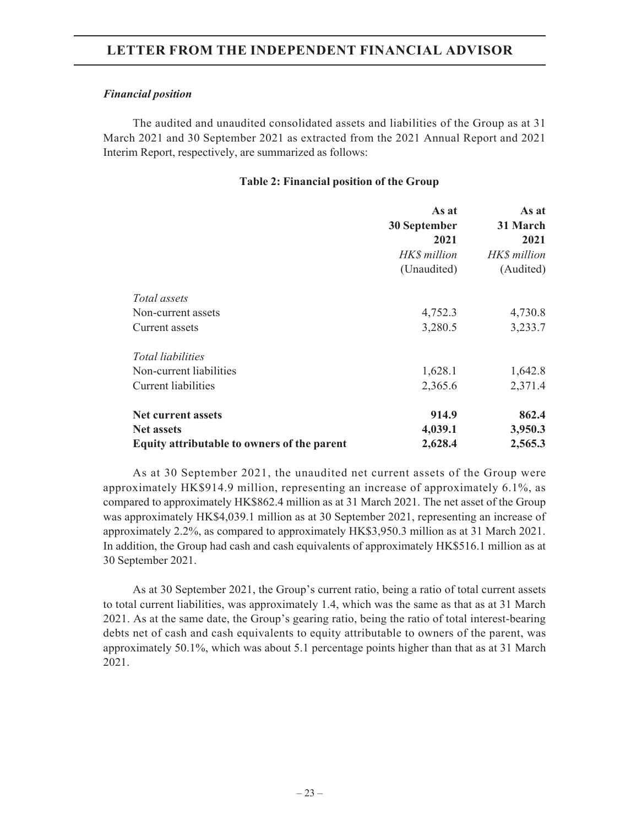#### *Financial position*

The audited and unaudited consolidated assets and liabilities of the Group as at 31 March 2021 and 30 September 2021 as extracted from the 2021 Annual Report and 2021 Interim Report, respectively, are summarized as follows:

## **Table 2: Financial position of the Group**

|                                             | As at        | As at        |
|---------------------------------------------|--------------|--------------|
|                                             | 30 September | 31 March     |
|                                             | 2021         | 2021         |
|                                             | HKS million  | HK\$ million |
|                                             | (Unaudited)  | (Audited)    |
| Total assets                                |              |              |
| Non-current assets                          | 4,752.3      | 4,730.8      |
| Current assets                              | 3,280.5      | 3,233.7      |
| Total liabilities                           |              |              |
| Non-current liabilities                     | 1,628.1      | 1,642.8      |
| <b>Current liabilities</b>                  | 2,365.6      | 2,371.4      |
| <b>Net current assets</b>                   | 914.9        | 862.4        |
| <b>Net assets</b>                           | 4,039.1      | 3,950.3      |
| Equity attributable to owners of the parent | 2,628.4      | 2,565.3      |

As at 30 September 2021, the unaudited net current assets of the Group were approximately HK\$914.9 million, representing an increase of approximately 6.1%, as compared to approximately HK\$862.4 million as at 31 March 2021. The net asset of the Group was approximately HK\$4,039.1 million as at 30 September 2021, representing an increase of approximately 2.2%, as compared to approximately HK\$3,950.3 million as at 31 March 2021. In addition, the Group had cash and cash equivalents of approximately HK\$516.1 million as at 30 September 2021.

As at 30 September 2021, the Group's current ratio, being a ratio of total current assets to total current liabilities, was approximately 1.4, which was the same as that as at 31 March 2021. As at the same date, the Group's gearing ratio, being the ratio of total interest-bearing debts net of cash and cash equivalents to equity attributable to owners of the parent, was approximately 50.1%, which was about 5.1 percentage points higher than that as at 31 March 2021.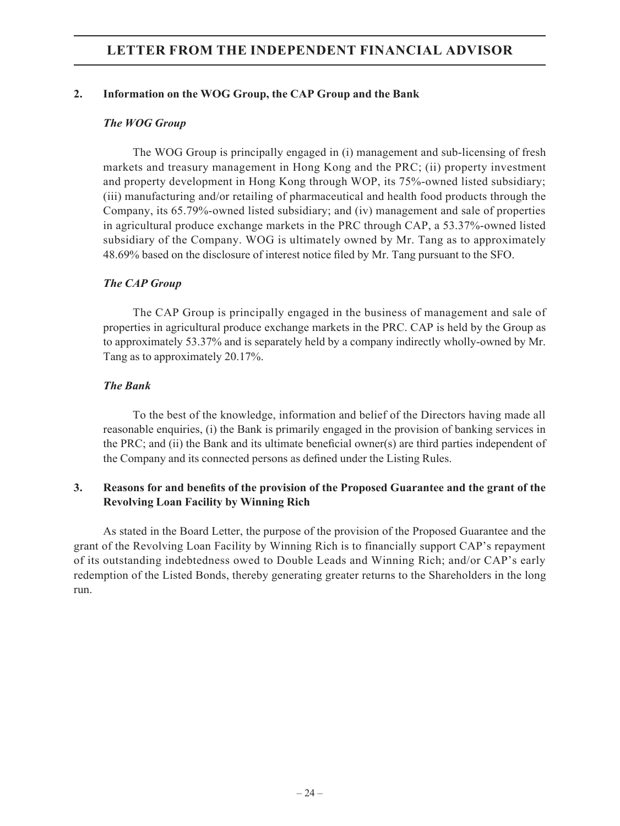## **2. Information on the WOG Group, the CAP Group and the Bank**

## *The WOG Group*

The WOG Group is principally engaged in (i) management and sub-licensing of fresh markets and treasury management in Hong Kong and the PRC; (ii) property investment and property development in Hong Kong through WOP, its 75%-owned listed subsidiary; (iii) manufacturing and/or retailing of pharmaceutical and health food products through the Company, its 65.79%-owned listed subsidiary; and (iv) management and sale of properties in agricultural produce exchange markets in the PRC through CAP, a 53.37%-owned listed subsidiary of the Company. WOG is ultimately owned by Mr. Tang as to approximately 48.69% based on the disclosure of interest notice filed by Mr. Tang pursuant to the SFO.

## *The CAP Group*

The CAP Group is principally engaged in the business of management and sale of properties in agricultural produce exchange markets in the PRC. CAP is held by the Group as to approximately 53.37% and is separately held by a company indirectly wholly-owned by Mr. Tang as to approximately 20.17%.

## *The Bank*

To the best of the knowledge, information and belief of the Directors having made all reasonable enquiries, (i) the Bank is primarily engaged in the provision of banking services in the PRC; and (ii) the Bank and its ultimate beneficial owner(s) are third parties independent of the Company and its connected persons as defined under the Listing Rules.

## **3. Reasons for and benefits of the provision of the Proposed Guarantee and the grant of the Revolving Loan Facility by Winning Rich**

As stated in the Board Letter, the purpose of the provision of the Proposed Guarantee and the grant of the Revolving Loan Facility by Winning Rich is to financially support CAP's repayment of its outstanding indebtedness owed to Double Leads and Winning Rich; and/or CAP's early redemption of the Listed Bonds, thereby generating greater returns to the Shareholders in the long run.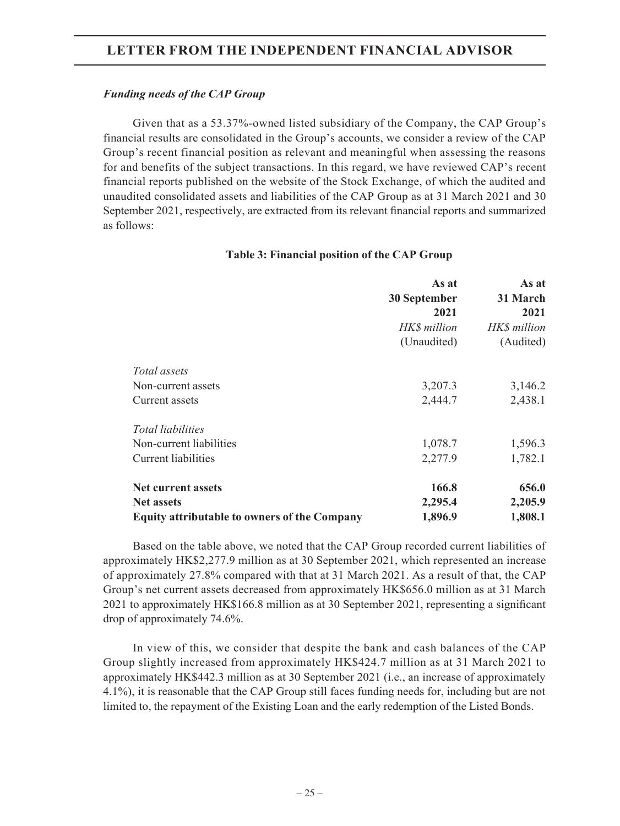#### *Funding needs of the CAP Group*

Given that as a 53.37%-owned listed subsidiary of the Company, the CAP Group's financial results are consolidated in the Group's accounts, we consider a review of the CAP Group's recent financial position as relevant and meaningful when assessing the reasons for and benefits of the subject transactions. In this regard, we have reviewed CAP's recent financial reports published on the website of the Stock Exchange, of which the audited and unaudited consolidated assets and liabilities of the CAP Group as at 31 March 2021 and 30 September 2021, respectively, are extracted from its relevant financial reports and summarized as follows:

#### **Table 3: Financial position of the CAP Group**

|                                                     | As at<br>30 September<br>2021<br>HK\$ million<br>(Unaudited) | As at<br>31 March<br>2021<br>HK\$ million<br>(Audited) |
|-----------------------------------------------------|--------------------------------------------------------------|--------------------------------------------------------|
| <i>Total assets</i>                                 |                                                              |                                                        |
| Non-current assets                                  | 3,207.3                                                      | 3,146.2                                                |
| Current assets                                      | 2,444.7                                                      | 2,438.1                                                |
| <i>Total liabilities</i>                            |                                                              |                                                        |
| Non-current liabilities                             | 1,078.7                                                      | 1,596.3                                                |
| Current liabilities                                 | 2,277.9                                                      | 1,782.1                                                |
| <b>Net current assets</b>                           | 166.8                                                        | 656.0                                                  |
| <b>Net assets</b>                                   | 2,295.4                                                      | 2,205.9                                                |
| <b>Equity attributable to owners of the Company</b> | 1,896.9                                                      | 1,808.1                                                |

Based on the table above, we noted that the CAP Group recorded current liabilities of approximately HK\$2,277.9 million as at 30 September 2021, which represented an increase of approximately 27.8% compared with that at 31 March 2021. As a result of that, the CAP Group's net current assets decreased from approximately HK\$656.0 million as at 31 March 2021 to approximately HK\$166.8 million as at 30 September 2021, representing a significant drop of approximately 74.6%.

In view of this, we consider that despite the bank and cash balances of the CAP Group slightly increased from approximately HK\$424.7 million as at 31 March 2021 to approximately HK\$442.3 million as at 30 September 2021 (i.e., an increase of approximately 4.1%), it is reasonable that the CAP Group still faces funding needs for, including but are not limited to, the repayment of the Existing Loan and the early redemption of the Listed Bonds.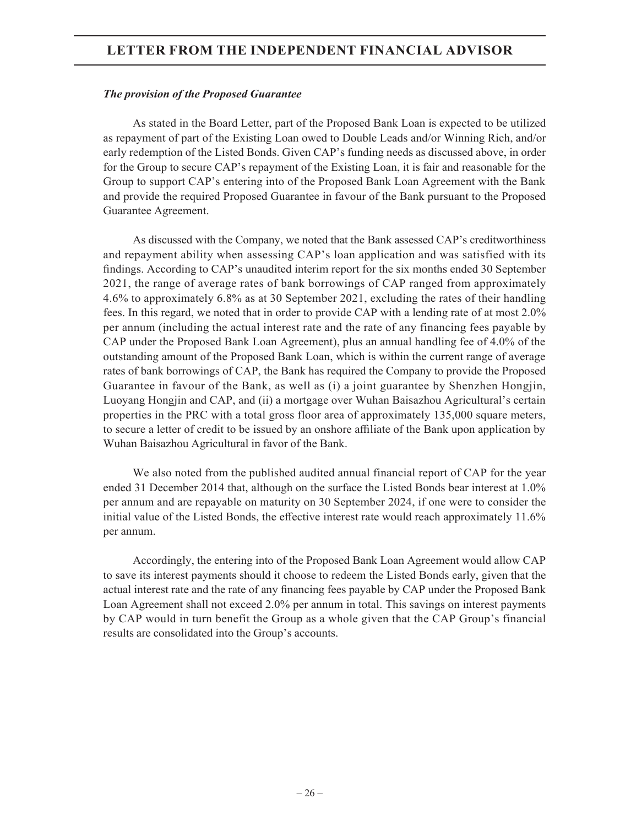#### *The provision of the Proposed Guarantee*

As stated in the Board Letter, part of the Proposed Bank Loan is expected to be utilized as repayment of part of the Existing Loan owed to Double Leads and/or Winning Rich, and/or early redemption of the Listed Bonds. Given CAP's funding needs as discussed above, in order for the Group to secure CAP's repayment of the Existing Loan, it is fair and reasonable for the Group to support CAP's entering into of the Proposed Bank Loan Agreement with the Bank and provide the required Proposed Guarantee in favour of the Bank pursuant to the Proposed Guarantee Agreement.

As discussed with the Company, we noted that the Bank assessed CAP's creditworthiness and repayment ability when assessing CAP's loan application and was satisfied with its findings. According to CAP's unaudited interim report for the six months ended 30 September 2021, the range of average rates of bank borrowings of CAP ranged from approximately 4.6% to approximately 6.8% as at 30 September 2021, excluding the rates of their handling fees. In this regard, we noted that in order to provide CAP with a lending rate of at most 2.0% per annum (including the actual interest rate and the rate of any financing fees payable by CAP under the Proposed Bank Loan Agreement), plus an annual handling fee of 4.0% of the outstanding amount of the Proposed Bank Loan, which is within the current range of average rates of bank borrowings of CAP, the Bank has required the Company to provide the Proposed Guarantee in favour of the Bank, as well as (i) a joint guarantee by Shenzhen Hongjin, Luoyang Hongjin and CAP, and (ii) a mortgage over Wuhan Baisazhou Agricultural's certain properties in the PRC with a total gross floor area of approximately 135,000 square meters, to secure a letter of credit to be issued by an onshore affiliate of the Bank upon application by Wuhan Baisazhou Agricultural in favor of the Bank.

We also noted from the published audited annual financial report of CAP for the year ended 31 December 2014 that, although on the surface the Listed Bonds bear interest at 1.0% per annum and are repayable on maturity on 30 September 2024, if one were to consider the initial value of the Listed Bonds, the effective interest rate would reach approximately 11.6% per annum.

Accordingly, the entering into of the Proposed Bank Loan Agreement would allow CAP to save its interest payments should it choose to redeem the Listed Bonds early, given that the actual interest rate and the rate of any financing fees payable by CAP under the Proposed Bank Loan Agreement shall not exceed 2.0% per annum in total. This savings on interest payments by CAP would in turn benefit the Group as a whole given that the CAP Group's financial results are consolidated into the Group's accounts.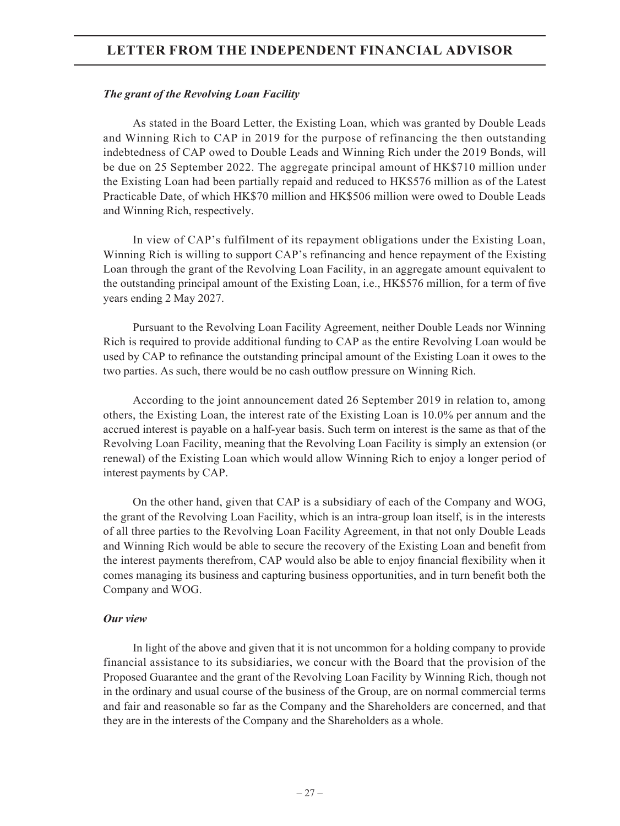#### *The grant of the Revolving Loan Facility*

As stated in the Board Letter, the Existing Loan, which was granted by Double Leads and Winning Rich to CAP in 2019 for the purpose of refinancing the then outstanding indebtedness of CAP owed to Double Leads and Winning Rich under the 2019 Bonds, will be due on 25 September 2022. The aggregate principal amount of HK\$710 million under the Existing Loan had been partially repaid and reduced to HK\$576 million as of the Latest Practicable Date, of which HK\$70 million and HK\$506 million were owed to Double Leads and Winning Rich, respectively.

In view of CAP's fulfilment of its repayment obligations under the Existing Loan, Winning Rich is willing to support CAP's refinancing and hence repayment of the Existing Loan through the grant of the Revolving Loan Facility, in an aggregate amount equivalent to the outstanding principal amount of the Existing Loan, i.e., HK\$576 million, for a term of five years ending 2 May 2027.

Pursuant to the Revolving Loan Facility Agreement, neither Double Leads nor Winning Rich is required to provide additional funding to CAP as the entire Revolving Loan would be used by CAP to refinance the outstanding principal amount of the Existing Loan it owes to the two parties. As such, there would be no cash outflow pressure on Winning Rich.

According to the joint announcement dated 26 September 2019 in relation to, among others, the Existing Loan, the interest rate of the Existing Loan is 10.0% per annum and the accrued interest is payable on a half-year basis. Such term on interest is the same as that of the Revolving Loan Facility, meaning that the Revolving Loan Facility is simply an extension (or renewal) of the Existing Loan which would allow Winning Rich to enjoy a longer period of interest payments by CAP.

On the other hand, given that CAP is a subsidiary of each of the Company and WOG, the grant of the Revolving Loan Facility, which is an intra-group loan itself, is in the interests of all three parties to the Revolving Loan Facility Agreement, in that not only Double Leads and Winning Rich would be able to secure the recovery of the Existing Loan and benefit from the interest payments therefrom, CAP would also be able to enjoy financial flexibility when it comes managing its business and capturing business opportunities, and in turn benefit both the Company and WOG.

#### *Our view*

In light of the above and given that it is not uncommon for a holding company to provide financial assistance to its subsidiaries, we concur with the Board that the provision of the Proposed Guarantee and the grant of the Revolving Loan Facility by Winning Rich, though not in the ordinary and usual course of the business of the Group, are on normal commercial terms and fair and reasonable so far as the Company and the Shareholders are concerned, and that they are in the interests of the Company and the Shareholders as a whole.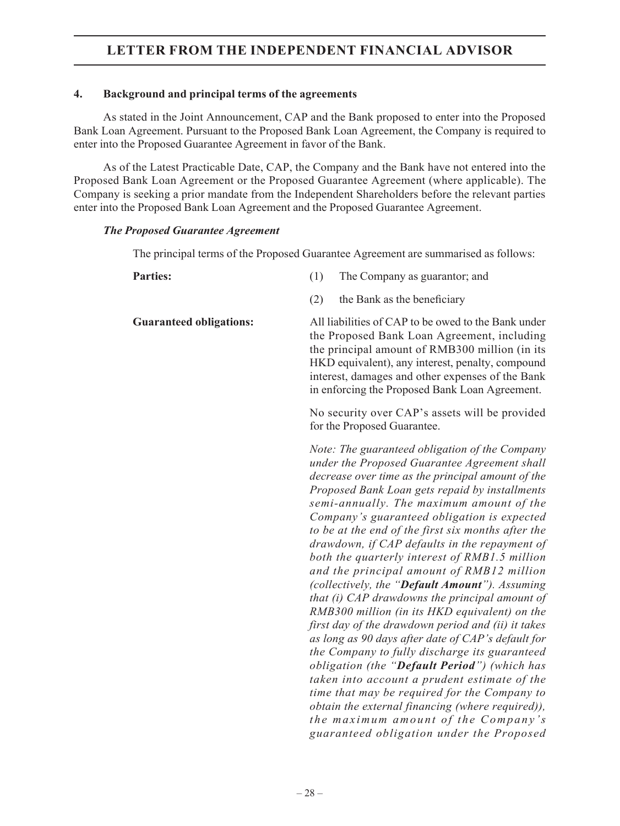## **4. Background and principal terms of the agreements**

As stated in the Joint Announcement, CAP and the Bank proposed to enter into the Proposed Bank Loan Agreement. Pursuant to the Proposed Bank Loan Agreement, the Company is required to enter into the Proposed Guarantee Agreement in favor of the Bank.

As of the Latest Practicable Date, CAP, the Company and the Bank have not entered into the Proposed Bank Loan Agreement or the Proposed Guarantee Agreement (where applicable). The Company is seeking a prior mandate from the Independent Shareholders before the relevant parties enter into the Proposed Bank Loan Agreement and the Proposed Guarantee Agreement.

## *The Proposed Guarantee Agreement*

The principal terms of the Proposed Guarantee Agreement are summarised as follows:

| <b>Parties:</b>                | (1)<br>The Company as guarantor; and                                                                                                                                                                                                                                                                                                                                                                                                                                                                                                                                                                                                                                                                                                                                                                                                                                                                                                                                                                                                                                                                           |
|--------------------------------|----------------------------------------------------------------------------------------------------------------------------------------------------------------------------------------------------------------------------------------------------------------------------------------------------------------------------------------------------------------------------------------------------------------------------------------------------------------------------------------------------------------------------------------------------------------------------------------------------------------------------------------------------------------------------------------------------------------------------------------------------------------------------------------------------------------------------------------------------------------------------------------------------------------------------------------------------------------------------------------------------------------------------------------------------------------------------------------------------------------|
|                                | (2)<br>the Bank as the beneficiary                                                                                                                                                                                                                                                                                                                                                                                                                                                                                                                                                                                                                                                                                                                                                                                                                                                                                                                                                                                                                                                                             |
| <b>Guaranteed obligations:</b> | All liabilities of CAP to be owed to the Bank under<br>the Proposed Bank Loan Agreement, including<br>the principal amount of RMB300 million (in its<br>HKD equivalent), any interest, penalty, compound<br>interest, damages and other expenses of the Bank<br>in enforcing the Proposed Bank Loan Agreement.                                                                                                                                                                                                                                                                                                                                                                                                                                                                                                                                                                                                                                                                                                                                                                                                 |
|                                | No security over CAP's assets will be provided<br>for the Proposed Guarantee.                                                                                                                                                                                                                                                                                                                                                                                                                                                                                                                                                                                                                                                                                                                                                                                                                                                                                                                                                                                                                                  |
|                                | Note: The guaranteed obligation of the Company<br>under the Proposed Guarantee Agreement shall<br>decrease over time as the principal amount of the<br>Proposed Bank Loan gets repaid by installments<br>semi-annually. The maximum amount of the<br>Company's guaranteed obligation is expected<br>to be at the end of the first six months after the<br>drawdown, if CAP defaults in the repayment of<br>both the quarterly interest of RMB1.5 million<br>and the principal amount of RMB12 million<br>(collectively, the "Default Amount"). Assuming<br>that (i) CAP drawdowns the principal amount of<br>RMB300 million (in its HKD equivalent) on the<br>first day of the drawdown period and (ii) it takes<br>as long as 90 days after date of CAP's default for<br>the Company to fully discharge its guaranteed<br>obligation (the "Default Period") (which has<br>taken into account a prudent estimate of the<br>time that may be required for the Company to<br>obtain the external financing (where required)),<br>the maximum amount of the Company's<br>guaranteed obligation under the Proposed |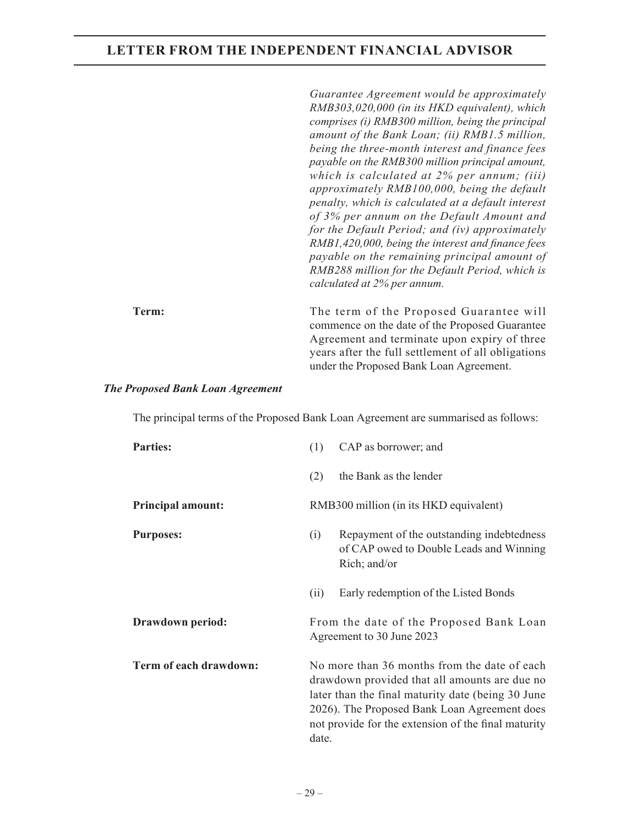*Guarantee Agreement would be approximately RMB303,020,000 (in its HKD equivalent), which comprises (i) RMB300 million, being the principal amount of the Bank Loan; (ii) RMB1.5 million, being the three-month interest and finance fees payable on the RMB300 million principal amount, which is calculated at 2% per annum; (iii) approximately RMB100,000, being the default penalty, which is calculated at a default interest of 3% per annum on the Default Amount and for the Default Period; and (iv) approximately RMB1,420,000, being the interest and finance fees payable on the remaining principal amount of RMB288 million for the Default Period, which is calculated at 2% per annum.*

**Term:** The term of the Proposed Guarantee will commence on the date of the Proposed Guarantee Agreement and terminate upon expiry of three years after the full settlement of all obligations under the Proposed Bank Loan Agreement.

#### *The Proposed Bank Loan Agreement*

The principal terms of the Proposed Bank Loan Agreement are summarised as follows:

| <b>Parties:</b>          | (1)                                                                                                                                                                                                                                                                | CAP as borrower; and                                                                                 |
|--------------------------|--------------------------------------------------------------------------------------------------------------------------------------------------------------------------------------------------------------------------------------------------------------------|------------------------------------------------------------------------------------------------------|
|                          | (2)                                                                                                                                                                                                                                                                | the Bank as the lender                                                                               |
| <b>Principal amount:</b> |                                                                                                                                                                                                                                                                    | RMB300 million (in its HKD equivalent)                                                               |
| <b>Purposes:</b>         | (i)                                                                                                                                                                                                                                                                | Repayment of the outstanding indebtedness<br>of CAP owed to Double Leads and Winning<br>Rich; and/or |
|                          | (ii)                                                                                                                                                                                                                                                               | Early redemption of the Listed Bonds                                                                 |
| Drawdown period:         |                                                                                                                                                                                                                                                                    | From the date of the Proposed Bank Loan<br>Agreement to 30 June 2023                                 |
| Term of each drawdown:   | No more than 36 months from the date of each<br>drawdown provided that all amounts are due no<br>later than the final maturity date (being 30 June<br>2026). The Proposed Bank Loan Agreement does<br>not provide for the extension of the final maturity<br>date. |                                                                                                      |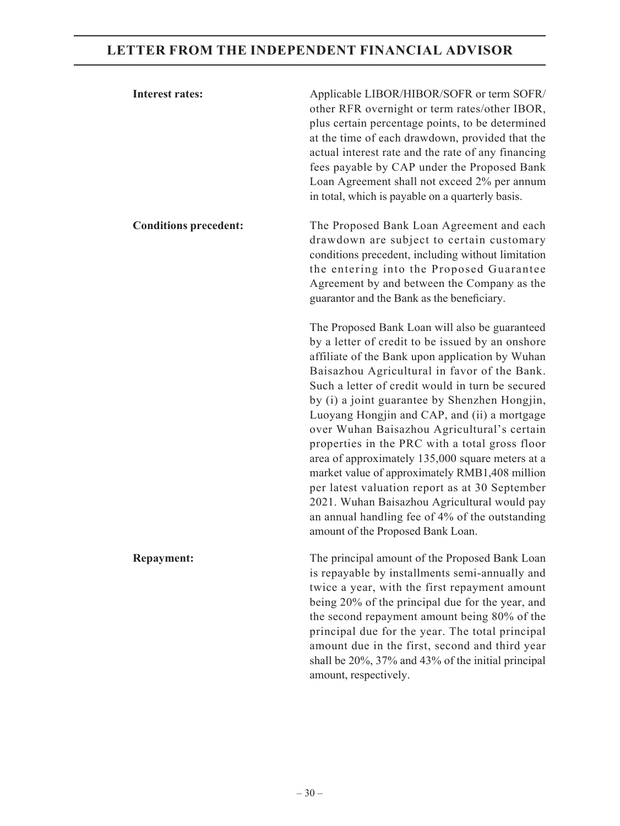| <b>Interest rates:</b>       | Applicable LIBOR/HIBOR/SOFR or term SOFR/<br>other RFR overnight or term rates/other IBOR,<br>plus certain percentage points, to be determined<br>at the time of each drawdown, provided that the<br>actual interest rate and the rate of any financing<br>fees payable by CAP under the Proposed Bank<br>Loan Agreement shall not exceed 2% per annum<br>in total, which is payable on a quarterly basis.                                                                                                                                                                                                                                                                                                                                                  |
|------------------------------|-------------------------------------------------------------------------------------------------------------------------------------------------------------------------------------------------------------------------------------------------------------------------------------------------------------------------------------------------------------------------------------------------------------------------------------------------------------------------------------------------------------------------------------------------------------------------------------------------------------------------------------------------------------------------------------------------------------------------------------------------------------|
| <b>Conditions precedent:</b> | The Proposed Bank Loan Agreement and each<br>drawdown are subject to certain customary<br>conditions precedent, including without limitation<br>the entering into the Proposed Guarantee<br>Agreement by and between the Company as the<br>guarantor and the Bank as the beneficiary.                                                                                                                                                                                                                                                                                                                                                                                                                                                                       |
|                              | The Proposed Bank Loan will also be guaranteed<br>by a letter of credit to be issued by an onshore<br>affiliate of the Bank upon application by Wuhan<br>Baisazhou Agricultural in favor of the Bank.<br>Such a letter of credit would in turn be secured<br>by (i) a joint guarantee by Shenzhen Hongjin,<br>Luoyang Hongjin and CAP, and (ii) a mortgage<br>over Wuhan Baisazhou Agricultural's certain<br>properties in the PRC with a total gross floor<br>area of approximately 135,000 square meters at a<br>market value of approximately RMB1,408 million<br>per latest valuation report as at 30 September<br>2021. Wuhan Baisazhou Agricultural would pay<br>an annual handling fee of 4% of the outstanding<br>amount of the Proposed Bank Loan. |
| <b>Repayment:</b>            | The principal amount of the Proposed Bank Loan<br>is repayable by installments semi-annually and<br>twice a year, with the first repayment amount<br>being 20% of the principal due for the year, and<br>the second repayment amount being 80% of the<br>principal due for the year. The total principal<br>amount due in the first, second and third year<br>shall be 20%, 37% and 43% of the initial principal<br>amount, respectively.                                                                                                                                                                                                                                                                                                                   |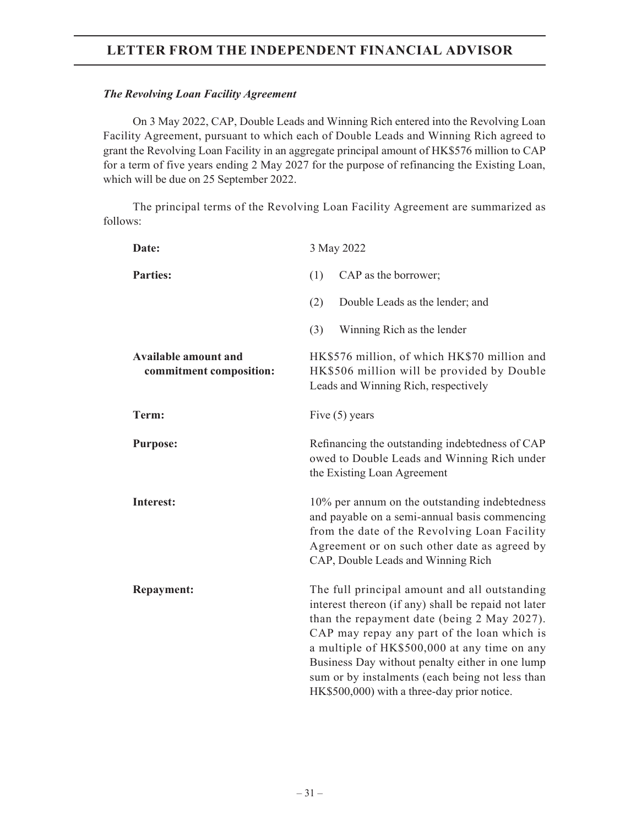## *The Revolving Loan Facility Agreement*

On 3 May 2022, CAP, Double Leads and Winning Rich entered into the Revolving Loan Facility Agreement, pursuant to which each of Double Leads and Winning Rich agreed to grant the Revolving Loan Facility in an aggregate principal amount of HK\$576 million to CAP for a term of five years ending 2 May 2027 for the purpose of refinancing the Existing Loan, which will be due on 25 September 2022.

The principal terms of the Revolving Loan Facility Agreement are summarized as follows:

| Date:                                                  | 3 May 2022                                                                                                                                                                                                                                                                                                                                                                                              |  |  |
|--------------------------------------------------------|---------------------------------------------------------------------------------------------------------------------------------------------------------------------------------------------------------------------------------------------------------------------------------------------------------------------------------------------------------------------------------------------------------|--|--|
| <b>Parties:</b>                                        | (1)<br>CAP as the borrower;                                                                                                                                                                                                                                                                                                                                                                             |  |  |
|                                                        | (2)<br>Double Leads as the lender; and                                                                                                                                                                                                                                                                                                                                                                  |  |  |
|                                                        | (3)<br>Winning Rich as the lender                                                                                                                                                                                                                                                                                                                                                                       |  |  |
| <b>Available amount and</b><br>commitment composition: | HK\$576 million, of which HK\$70 million and<br>HK\$506 million will be provided by Double<br>Leads and Winning Rich, respectively                                                                                                                                                                                                                                                                      |  |  |
| Term:                                                  | Five $(5)$ years                                                                                                                                                                                                                                                                                                                                                                                        |  |  |
| <b>Purpose:</b>                                        | Refinancing the outstanding indebtedness of CAP<br>owed to Double Leads and Winning Rich under<br>the Existing Loan Agreement                                                                                                                                                                                                                                                                           |  |  |
| <b>Interest:</b>                                       | 10% per annum on the outstanding indebtedness<br>and payable on a semi-annual basis commencing<br>from the date of the Revolving Loan Facility<br>Agreement or on such other date as agreed by<br>CAP, Double Leads and Winning Rich                                                                                                                                                                    |  |  |
| <b>Repayment:</b>                                      | The full principal amount and all outstanding<br>interest thereon (if any) shall be repaid not later<br>than the repayment date (being 2 May 2027).<br>CAP may repay any part of the loan which is<br>a multiple of HK\$500,000 at any time on any<br>Business Day without penalty either in one lump<br>sum or by instalments (each being not less than<br>HK\$500,000) with a three-day prior notice. |  |  |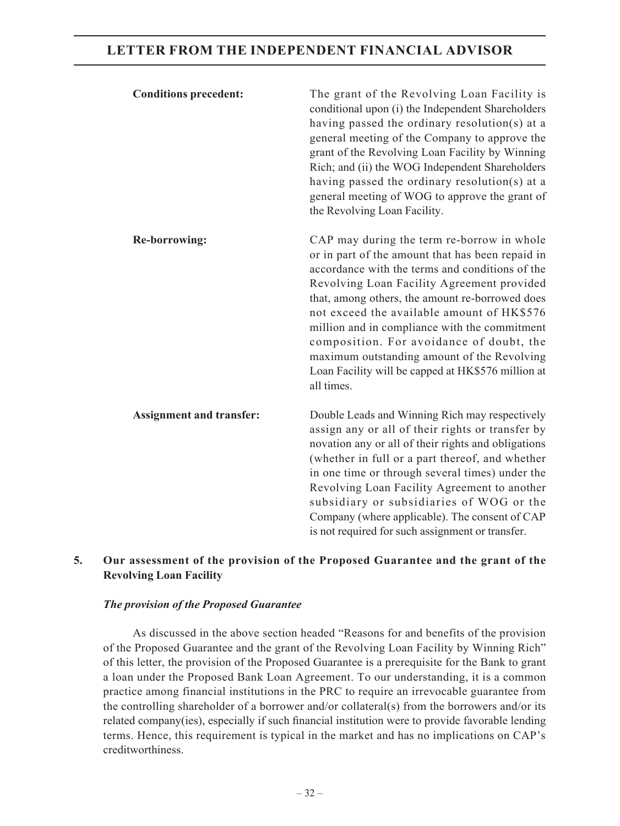| <b>Conditions precedent:</b>    | The grant of the Revolving Loan Facility is<br>conditional upon (i) the Independent Shareholders<br>having passed the ordinary resolution(s) at a<br>general meeting of the Company to approve the<br>grant of the Revolving Loan Facility by Winning<br>Rich; and (ii) the WOG Independent Shareholders<br>having passed the ordinary resolution(s) at a<br>general meeting of WOG to approve the grant of<br>the Revolving Loan Facility.                                                                      |
|---------------------------------|------------------------------------------------------------------------------------------------------------------------------------------------------------------------------------------------------------------------------------------------------------------------------------------------------------------------------------------------------------------------------------------------------------------------------------------------------------------------------------------------------------------|
| <b>Re-borrowing:</b>            | CAP may during the term re-borrow in whole<br>or in part of the amount that has been repaid in<br>accordance with the terms and conditions of the<br>Revolving Loan Facility Agreement provided<br>that, among others, the amount re-borrowed does<br>not exceed the available amount of HK\$576<br>million and in compliance with the commitment<br>composition. For avoidance of doubt, the<br>maximum outstanding amount of the Revolving<br>Loan Facility will be capped at HK\$576 million at<br>all times. |
| <b>Assignment and transfer:</b> | Double Leads and Winning Rich may respectively<br>assign any or all of their rights or transfer by<br>novation any or all of their rights and obligations<br>(whether in full or a part thereof, and whether<br>in one time or through several times) under the<br>Revolving Loan Facility Agreement to another<br>subsidiary or subsidiaries of WOG or the<br>Company (where applicable). The consent of CAP<br>is not required for such assignment or transfer.                                                |

## **5. Our assessment of the provision of the Proposed Guarantee and the grant of the Revolving Loan Facility**

#### *The provision of the Proposed Guarantee*

As discussed in the above section headed "Reasons for and benefits of the provision of the Proposed Guarantee and the grant of the Revolving Loan Facility by Winning Rich" of this letter, the provision of the Proposed Guarantee is a prerequisite for the Bank to grant a loan under the Proposed Bank Loan Agreement. To our understanding, it is a common practice among financial institutions in the PRC to require an irrevocable guarantee from the controlling shareholder of a borrower and/or collateral(s) from the borrowers and/or its related company(ies), especially if such financial institution were to provide favorable lending terms. Hence, this requirement is typical in the market and has no implications on CAP's creditworthiness.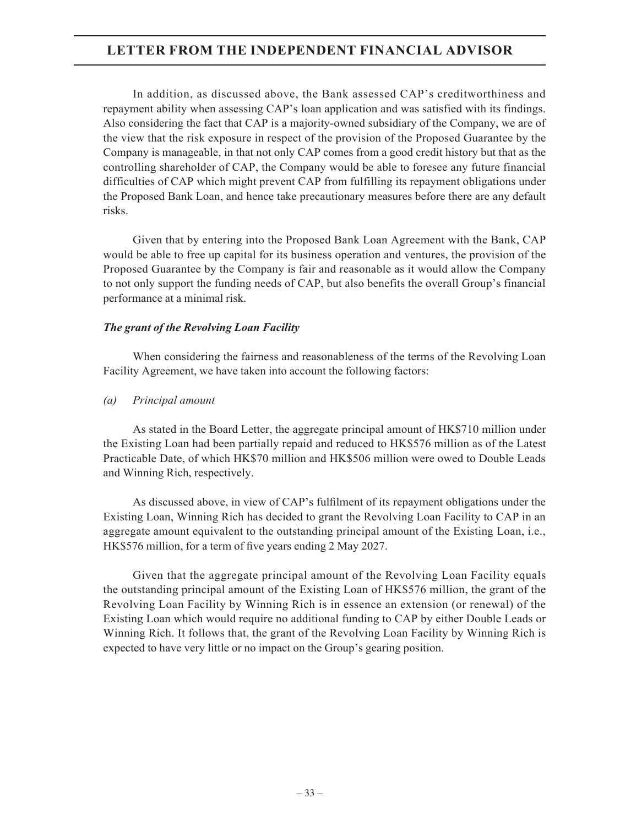In addition, as discussed above, the Bank assessed CAP's creditworthiness and repayment ability when assessing CAP's loan application and was satisfied with its findings. Also considering the fact that CAP is a majority-owned subsidiary of the Company, we are of the view that the risk exposure in respect of the provision of the Proposed Guarantee by the Company is manageable, in that not only CAP comes from a good credit history but that as the controlling shareholder of CAP, the Company would be able to foresee any future financial difficulties of CAP which might prevent CAP from fulfilling its repayment obligations under the Proposed Bank Loan, and hence take precautionary measures before there are any default risks.

Given that by entering into the Proposed Bank Loan Agreement with the Bank, CAP would be able to free up capital for its business operation and ventures, the provision of the Proposed Guarantee by the Company is fair and reasonable as it would allow the Company to not only support the funding needs of CAP, but also benefits the overall Group's financial performance at a minimal risk.

## *The grant of the Revolving Loan Facility*

When considering the fairness and reasonableness of the terms of the Revolving Loan Facility Agreement, we have taken into account the following factors:

*(a) Principal amount*

As stated in the Board Letter, the aggregate principal amount of HK\$710 million under the Existing Loan had been partially repaid and reduced to HK\$576 million as of the Latest Practicable Date, of which HK\$70 million and HK\$506 million were owed to Double Leads and Winning Rich, respectively.

As discussed above, in view of CAP's fulfilment of its repayment obligations under the Existing Loan, Winning Rich has decided to grant the Revolving Loan Facility to CAP in an aggregate amount equivalent to the outstanding principal amount of the Existing Loan, i.e., HK\$576 million, for a term of five years ending 2 May 2027.

Given that the aggregate principal amount of the Revolving Loan Facility equals the outstanding principal amount of the Existing Loan of HK\$576 million, the grant of the Revolving Loan Facility by Winning Rich is in essence an extension (or renewal) of the Existing Loan which would require no additional funding to CAP by either Double Leads or Winning Rich. It follows that, the grant of the Revolving Loan Facility by Winning Rich is expected to have very little or no impact on the Group's gearing position.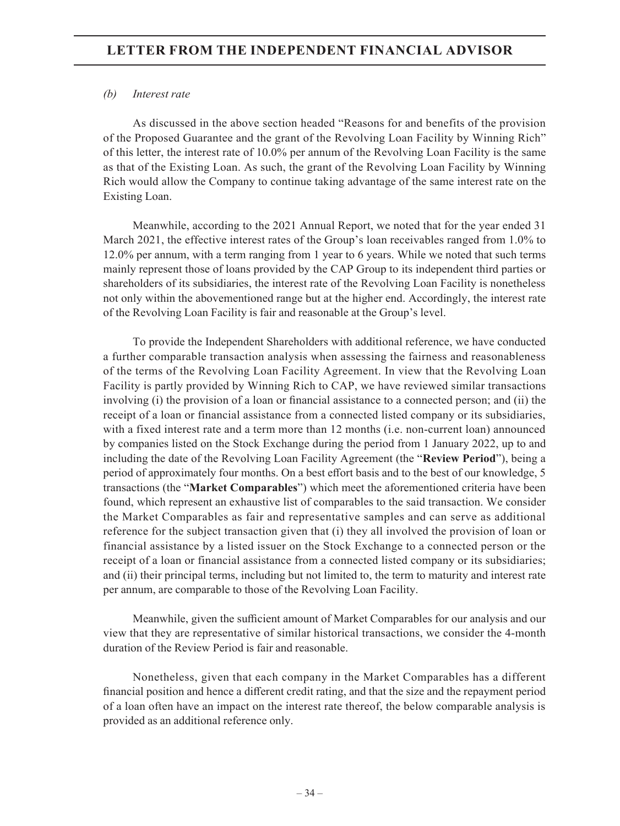## *(b) Interest rate*

As discussed in the above section headed "Reasons for and benefits of the provision of the Proposed Guarantee and the grant of the Revolving Loan Facility by Winning Rich" of this letter, the interest rate of 10.0% per annum of the Revolving Loan Facility is the same as that of the Existing Loan. As such, the grant of the Revolving Loan Facility by Winning Rich would allow the Company to continue taking advantage of the same interest rate on the Existing Loan.

Meanwhile, according to the 2021 Annual Report, we noted that for the year ended 31 March 2021, the effective interest rates of the Group's loan receivables ranged from 1.0% to 12.0% per annum, with a term ranging from 1 year to 6 years. While we noted that such terms mainly represent those of loans provided by the CAP Group to its independent third parties or shareholders of its subsidiaries, the interest rate of the Revolving Loan Facility is nonetheless not only within the abovementioned range but at the higher end. Accordingly, the interest rate of the Revolving Loan Facility is fair and reasonable at the Group's level.

To provide the Independent Shareholders with additional reference, we have conducted a further comparable transaction analysis when assessing the fairness and reasonableness of the terms of the Revolving Loan Facility Agreement. In view that the Revolving Loan Facility is partly provided by Winning Rich to CAP, we have reviewed similar transactions involving (i) the provision of a loan or financial assistance to a connected person; and (ii) the receipt of a loan or financial assistance from a connected listed company or its subsidiaries, with a fixed interest rate and a term more than 12 months (i.e. non-current loan) announced by companies listed on the Stock Exchange during the period from 1 January 2022, up to and including the date of the Revolving Loan Facility Agreement (the "**Review Period**"), being a period of approximately four months. On a best effort basis and to the best of our knowledge, 5 transactions (the "**Market Comparables**") which meet the aforementioned criteria have been found, which represent an exhaustive list of comparables to the said transaction. We consider the Market Comparables as fair and representative samples and can serve as additional reference for the subject transaction given that (i) they all involved the provision of loan or financial assistance by a listed issuer on the Stock Exchange to a connected person or the receipt of a loan or financial assistance from a connected listed company or its subsidiaries; and (ii) their principal terms, including but not limited to, the term to maturity and interest rate per annum, are comparable to those of the Revolving Loan Facility.

Meanwhile, given the sufficient amount of Market Comparables for our analysis and our view that they are representative of similar historical transactions, we consider the 4-month duration of the Review Period is fair and reasonable.

Nonetheless, given that each company in the Market Comparables has a different financial position and hence a different credit rating, and that the size and the repayment period of a loan often have an impact on the interest rate thereof, the below comparable analysis is provided as an additional reference only.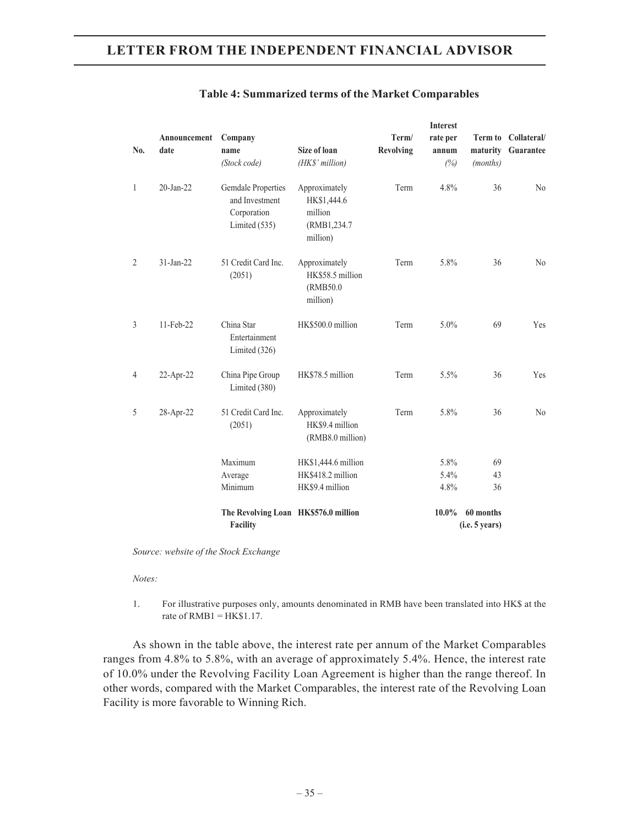| No.            | Announcement<br>date | Company<br>name<br>(Stock code)                                             | <b>Size of loan</b><br>(HK\$' million)                              | Term/<br><b>Revolving</b> | <b>Interest</b><br>rate per<br>annum<br>(%) | maturity<br>(months) | Term to Collateral/<br>Guarantee |
|----------------|----------------------|-----------------------------------------------------------------------------|---------------------------------------------------------------------|---------------------------|---------------------------------------------|----------------------|----------------------------------|
| $\mathbf{1}$   | $20$ -Jan- $22$      | <b>Gemdale Properties</b><br>and Investment<br>Corporation<br>Limited (535) | Approximately<br>HK\$1,444.6<br>million<br>(RMB1,234.7)<br>million) | Term                      | 4.8%                                        | 36                   | N <sub>o</sub>                   |
| $\overline{2}$ | $31$ -Jan-22         | 51 Credit Card Inc.<br>(2051)                                               | Approximately<br>HK\$58.5 million<br>(RMB50.0)<br>million)          | Term                      | 5.8%                                        | 36                   | N <sub>o</sub>                   |
| 3              | 11-Feb-22            | China Star<br>Entertainment<br>Limited $(326)$                              | HK\$500.0 million                                                   | Term                      | 5.0%                                        | 69                   | Yes                              |
| $\overline{4}$ | 22-Apr-22            | China Pipe Group<br>Limited (380)                                           | HK\$78.5 million                                                    | Term                      | 5.5%                                        | 36                   | Yes                              |
| 5              | 28-Apr-22            | 51 Credit Card Inc.<br>(2051)                                               | Approximately<br>HK\$9.4 million<br>(RMB8.0 million)                | Term                      | 5.8%                                        | 36                   | N <sub>o</sub>                   |
|                |                      | Maximum                                                                     | HK\$1,444.6 million                                                 |                           | 5.8%                                        | 69                   |                                  |
|                |                      | Average                                                                     | HK\$418.2 million                                                   |                           | 5.4%                                        | 43                   |                                  |
|                |                      | Minimum                                                                     | HK\$9.4 million                                                     |                           | 4.8%                                        | 36                   |                                  |
|                |                      | The Revolving Loan HK\$576.0 million                                        |                                                                     |                           | $10.0\%$                                    | 60 months            |                                  |
|                |                      | <b>Facility</b>                                                             |                                                                     |                           |                                             | (i.e. 5 years)       |                                  |

#### **Table 4: Summarized terms of the Market Comparables**

*Source: website of the Stock Exchange*

*Notes:*

1. For illustrative purposes only, amounts denominated in RMB have been translated into HK\$ at the rate of  $RMB1 = HK$1.17$ .

As shown in the table above, the interest rate per annum of the Market Comparables ranges from 4.8% to 5.8%, with an average of approximately 5.4%. Hence, the interest rate of 10.0% under the Revolving Facility Loan Agreement is higher than the range thereof. In other words, compared with the Market Comparables, the interest rate of the Revolving Loan Facility is more favorable to Winning Rich.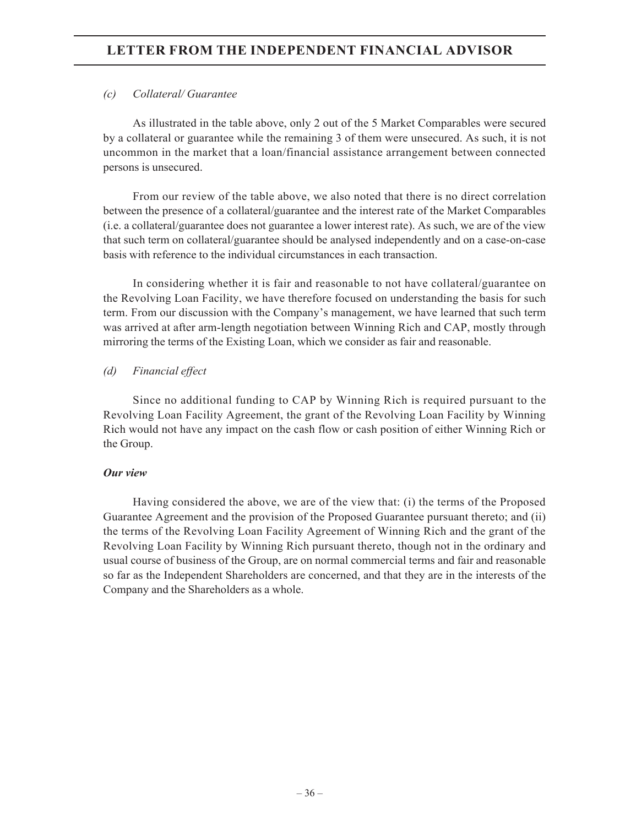## *(c) Collateral/ Guarantee*

As illustrated in the table above, only 2 out of the 5 Market Comparables were secured by a collateral or guarantee while the remaining 3 of them were unsecured. As such, it is not uncommon in the market that a loan/financial assistance arrangement between connected persons is unsecured.

From our review of the table above, we also noted that there is no direct correlation between the presence of a collateral/guarantee and the interest rate of the Market Comparables (i.e. a collateral/guarantee does not guarantee a lower interest rate). As such, we are of the view that such term on collateral/guarantee should be analysed independently and on a case-on-case basis with reference to the individual circumstances in each transaction.

In considering whether it is fair and reasonable to not have collateral/guarantee on the Revolving Loan Facility, we have therefore focused on understanding the basis for such term. From our discussion with the Company's management, we have learned that such term was arrived at after arm-length negotiation between Winning Rich and CAP, mostly through mirroring the terms of the Existing Loan, which we consider as fair and reasonable.

## *(d) Financial effect*

Since no additional funding to CAP by Winning Rich is required pursuant to the Revolving Loan Facility Agreement, the grant of the Revolving Loan Facility by Winning Rich would not have any impact on the cash flow or cash position of either Winning Rich or the Group.

## *Our view*

Having considered the above, we are of the view that: (i) the terms of the Proposed Guarantee Agreement and the provision of the Proposed Guarantee pursuant thereto; and (ii) the terms of the Revolving Loan Facility Agreement of Winning Rich and the grant of the Revolving Loan Facility by Winning Rich pursuant thereto, though not in the ordinary and usual course of business of the Group, are on normal commercial terms and fair and reasonable so far as the Independent Shareholders are concerned, and that they are in the interests of the Company and the Shareholders as a whole.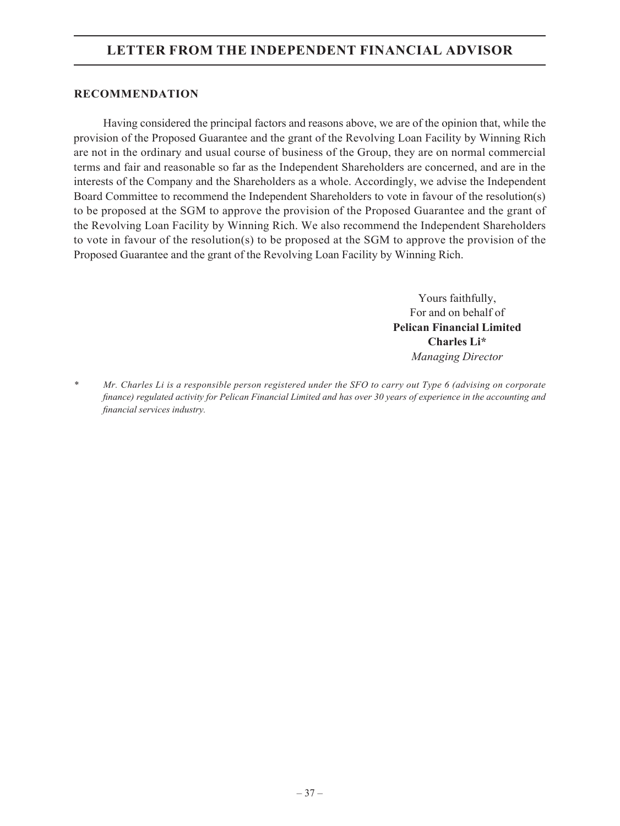## **RECOMMENDATION**

Having considered the principal factors and reasons above, we are of the opinion that, while the provision of the Proposed Guarantee and the grant of the Revolving Loan Facility by Winning Rich are not in the ordinary and usual course of business of the Group, they are on normal commercial terms and fair and reasonable so far as the Independent Shareholders are concerned, and are in the interests of the Company and the Shareholders as a whole. Accordingly, we advise the Independent Board Committee to recommend the Independent Shareholders to vote in favour of the resolution(s) to be proposed at the SGM to approve the provision of the Proposed Guarantee and the grant of the Revolving Loan Facility by Winning Rich. We also recommend the Independent Shareholders to vote in favour of the resolution(s) to be proposed at the SGM to approve the provision of the Proposed Guarantee and the grant of the Revolving Loan Facility by Winning Rich.

> Yours faithfully, For and on behalf of **Pelican Financial Limited Charles Li\*** *Managing Director*

*\* Mr. Charles Li is a responsible person registered under the SFO to carry out Type 6 (advising on corporate finance) regulated activity for Pelican Financial Limited and has over 30 years of experience in the accounting and financial services industry.*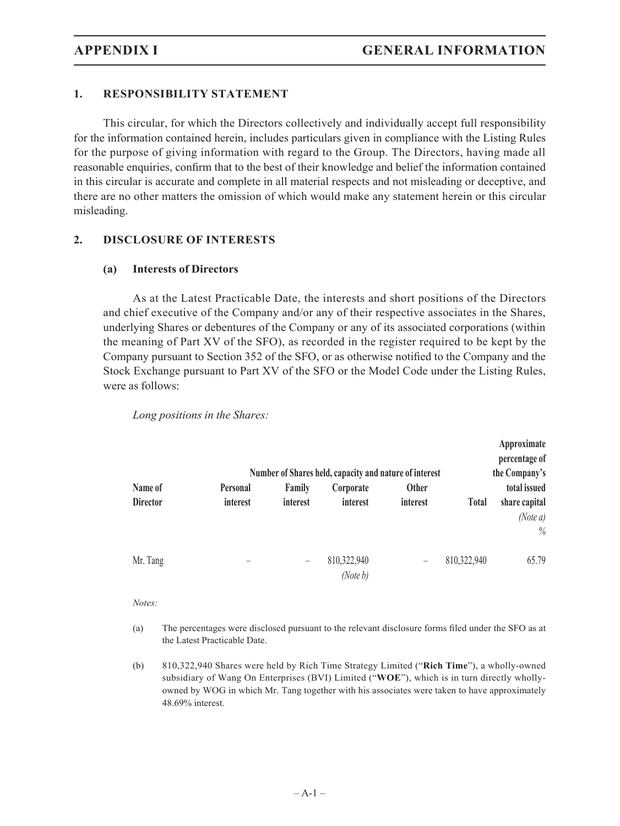## **1. RESPONSIBILITY STATEMENT**

This circular, for which the Directors collectively and individually accept full responsibility for the information contained herein, includes particulars given in compliance with the Listing Rules for the purpose of giving information with regard to the Group. The Directors, having made all reasonable enquiries, confirm that to the best of their knowledge and belief the information contained in this circular is accurate and complete in all material respects and not misleading or deceptive, and there are no other matters the omission of which would make any statement herein or this circular misleading.

## **2. DISCLOSURE OF INTERESTS**

## **(a) Interests of Directors**

As at the Latest Practicable Date, the interests and short positions of the Directors and chief executive of the Company and/or any of their respective associates in the Shares, underlying Shares or debentures of the Company or any of its associated corporations (within the meaning of Part XV of the SFO), as recorded in the register required to be kept by the Company pursuant to Section 352 of the SFO, or as otherwise notified to the Company and the Stock Exchange pursuant to Part XV of the SFO or the Model Code under the Listing Rules, were as follows:

|                 |                          |                          |                                                        |                   |              | Approximate   |
|-----------------|--------------------------|--------------------------|--------------------------------------------------------|-------------------|--------------|---------------|
|                 |                          |                          |                                                        |                   |              | percentage of |
|                 |                          |                          | Number of Shares held, capacity and nature of interest |                   |              | the Company's |
| Name of         | Personal                 | Family                   | Corporate                                              | <b>Other</b>      |              | total issued  |
| <b>Director</b> | <i>interest</i>          | interest                 | interest                                               | interest          | <b>Total</b> | share capital |
|                 |                          |                          |                                                        |                   |              | (Note $a$ )   |
|                 |                          |                          |                                                        |                   |              | $\%$          |
|                 |                          |                          |                                                        |                   |              |               |
| Mr. Tang        | $\overline{\phantom{a}}$ | $\overline{\phantom{m}}$ | 810,322,940                                            | $\qquad \qquad -$ | 810,322,940  | 65.79         |
|                 |                          |                          | (Note b)                                               |                   |              |               |

#### *Long positions in the Shares:*

#### *Notes:*

- (a) The percentages were disclosed pursuant to the relevant disclosure forms filed under the SFO as at the Latest Practicable Date.
- (b) 810,322,940 Shares were held by Rich Time Strategy Limited ("**Rich Time**"), a wholly-owned subsidiary of Wang On Enterprises (BVI) Limited ("**WOE**"), which is in turn directly whollyowned by WOG in which Mr. Tang together with his associates were taken to have approximately 48.69% interest.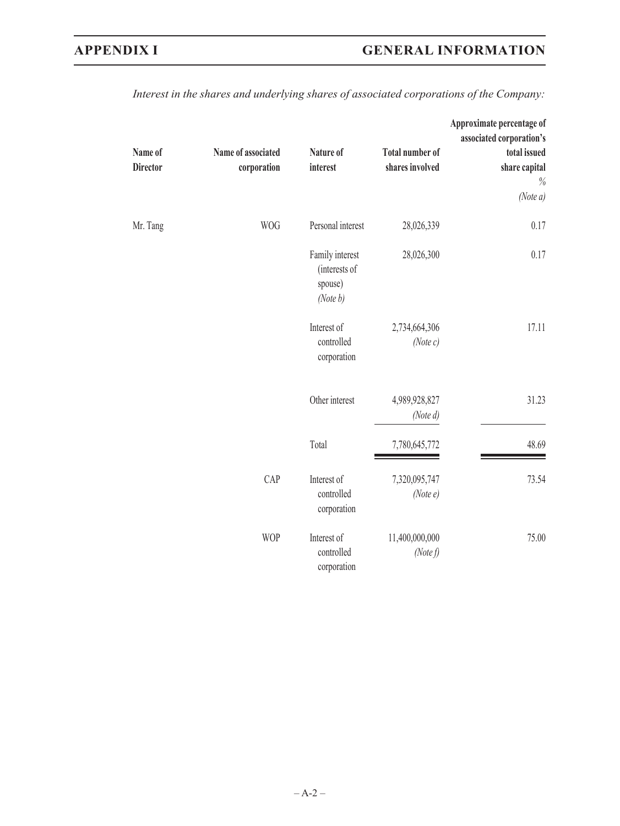| Name of<br><b>Director</b> | Name of associated<br>corporation | Nature of<br>interest                                   | <b>Total number of</b><br>shares involved | Approximate percentage of<br>associated corporation's<br>total issued<br>share capital<br>$\%$ |
|----------------------------|-----------------------------------|---------------------------------------------------------|-------------------------------------------|------------------------------------------------------------------------------------------------|
|                            |                                   |                                                         |                                           | (Note a)                                                                                       |
| Mr. Tang                   | <b>WOG</b>                        | Personal interest                                       | 28,026,339                                | 0.17                                                                                           |
|                            |                                   | Family interest<br>(interests of<br>spouse)<br>(Note b) | 28,026,300                                | 0.17                                                                                           |
|                            |                                   | Interest of<br>controlled<br>corporation                | 2,734,664,306<br>(Note c)                 | 17.11                                                                                          |
|                            |                                   | Other interest                                          | 4,989,928,827<br>(Note d)                 | 31.23                                                                                          |
|                            |                                   | Total                                                   | 7,780,645,772                             | 48.69                                                                                          |
|                            | CAP                               | Interest of<br>controlled<br>corporation                | 7,320,095,747<br>(Notee)                  | 73.54                                                                                          |
|                            | <b>WOP</b>                        | Interest of<br>controlled<br>corporation                | 11,400,000,000<br>(Note f)                | 75.00                                                                                          |

*Interest in the shares and underlying shares of associated corporations of the Company:*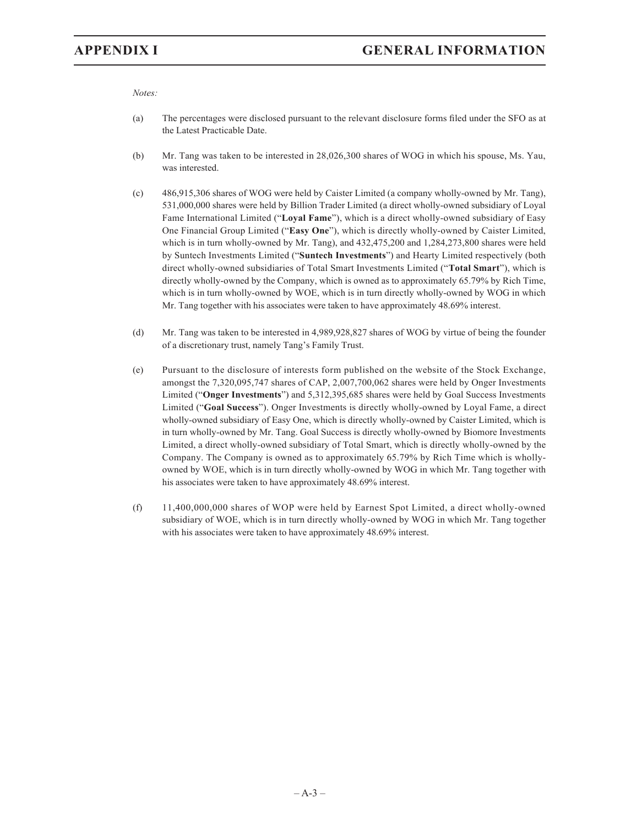*Notes:*

- (a) The percentages were disclosed pursuant to the relevant disclosure forms filed under the SFO as at the Latest Practicable Date.
- (b) Mr. Tang was taken to be interested in 28,026,300 shares of WOG in which his spouse, Ms. Yau, was interested.
- (c) 486,915,306 shares of WOG were held by Caister Limited (a company wholly-owned by Mr. Tang), 531,000,000 shares were held by Billion Trader Limited (a direct wholly-owned subsidiary of Loyal Fame International Limited ("**Loyal Fame**"), which is a direct wholly-owned subsidiary of Easy One Financial Group Limited ("**Easy One**"), which is directly wholly-owned by Caister Limited, which is in turn wholly-owned by Mr. Tang), and 432,475,200 and 1,284,273,800 shares were held by Suntech Investments Limited ("**Suntech Investments**") and Hearty Limited respectively (both direct wholly-owned subsidiaries of Total Smart Investments Limited ("**Total Smart**"), which is directly wholly-owned by the Company, which is owned as to approximately 65.79% by Rich Time, which is in turn wholly-owned by WOE, which is in turn directly wholly-owned by WOG in which Mr. Tang together with his associates were taken to have approximately 48.69% interest.
- (d) Mr. Tang was taken to be interested in 4,989,928,827 shares of WOG by virtue of being the founder of a discretionary trust, namely Tang's Family Trust.
- (e) Pursuant to the disclosure of interests form published on the website of the Stock Exchange, amongst the 7,320,095,747 shares of CAP, 2,007,700,062 shares were held by Onger Investments Limited ("**Onger Investments**") and 5,312,395,685 shares were held by Goal Success Investments Limited ("**Goal Success**"). Onger Investments is directly wholly-owned by Loyal Fame, a direct wholly-owned subsidiary of Easy One, which is directly wholly-owned by Caister Limited, which is in turn wholly-owned by Mr. Tang. Goal Success is directly wholly-owned by Biomore Investments Limited, a direct wholly-owned subsidiary of Total Smart, which is directly wholly-owned by the Company. The Company is owned as to approximately 65.79% by Rich Time which is whollyowned by WOE, which is in turn directly wholly-owned by WOG in which Mr. Tang together with his associates were taken to have approximately 48.69% interest.
- (f) 11,400,000,000 shares of WOP were held by Earnest Spot Limited, a direct wholly-owned subsidiary of WOE, which is in turn directly wholly-owned by WOG in which Mr. Tang together with his associates were taken to have approximately 48.69% interest.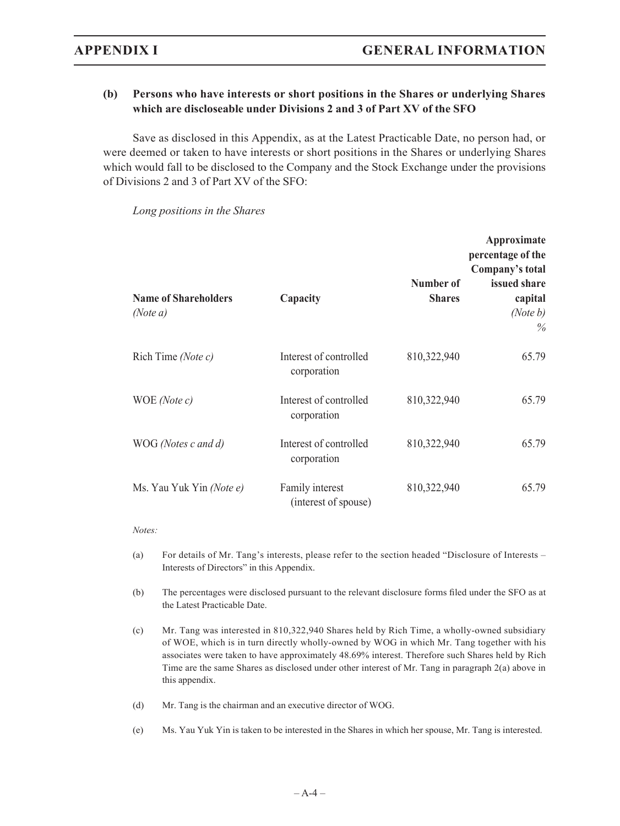## **(b) Persons who have interests or short positions in the Shares or underlying Shares which are discloseable under Divisions 2 and 3 of Part XV of the SFO**

Save as disclosed in this Appendix, as at the Latest Practicable Date, no person had, or were deemed or taken to have interests or short positions in the Shares or underlying Shares which would fall to be disclosed to the Company and the Stock Exchange under the provisions of Divisions 2 and 3 of Part XV of the SFO:

| <b>Name of Shareholders</b><br>(Note a) | Capacity                                | Number of<br><b>Shares</b> | Approximate<br>percentage of the<br>Company's total<br>issued share<br>capital<br>(Note $b$ )<br>$\%$ |
|-----------------------------------------|-----------------------------------------|----------------------------|-------------------------------------------------------------------------------------------------------|
| Rich Time (Note c)                      | Interest of controlled<br>corporation   | 810,322,940                | 65.79                                                                                                 |
| WOE (Note c)                            | Interest of controlled<br>corporation   | 810,322,940                | 65.79                                                                                                 |
| WOG (Notes c and d)                     | Interest of controlled<br>corporation   | 810,322,940                | 65.79                                                                                                 |
| Ms. Yau Yuk Yin (Note e)                | Family interest<br>(interest of spouse) | 810,322,940                | 65.79                                                                                                 |

*Long positions in the Shares*

#### *Notes:*

- (a) For details of Mr. Tang's interests, please refer to the section headed "Disclosure of Interests Interests of Directors" in this Appendix.
- (b) The percentages were disclosed pursuant to the relevant disclosure forms filed under the SFO as at the Latest Practicable Date.
- (c) Mr. Tang was interested in 810,322,940 Shares held by Rich Time, a wholly-owned subsidiary of WOE, which is in turn directly wholly-owned by WOG in which Mr. Tang together with his associates were taken to have approximately 48.69% interest. Therefore such Shares held by Rich Time are the same Shares as disclosed under other interest of Mr. Tang in paragraph 2(a) above in this appendix.
- (d) Mr. Tang is the chairman and an executive director of WOG.
- (e) Ms. Yau Yuk Yin is taken to be interested in the Shares in which her spouse, Mr. Tang is interested.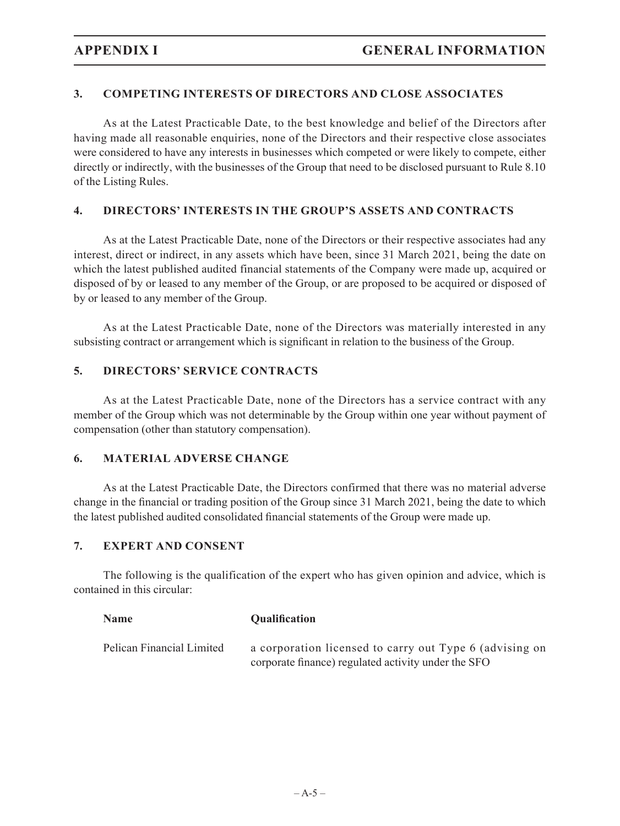## **3. COMPETING INTERESTS OF DIRECTORS AND CLOSE ASSOCIATES**

As at the Latest Practicable Date, to the best knowledge and belief of the Directors after having made all reasonable enquiries, none of the Directors and their respective close associates were considered to have any interests in businesses which competed or were likely to compete, either directly or indirectly, with the businesses of the Group that need to be disclosed pursuant to Rule 8.10 of the Listing Rules.

## **4. DIRECTORS' INTERESTS IN THE GROUP'S ASSETS AND CONTRACTS**

As at the Latest Practicable Date, none of the Directors or their respective associates had any interest, direct or indirect, in any assets which have been, since 31 March 2021, being the date on which the latest published audited financial statements of the Company were made up, acquired or disposed of by or leased to any member of the Group, or are proposed to be acquired or disposed of by or leased to any member of the Group.

As at the Latest Practicable Date, none of the Directors was materially interested in any subsisting contract or arrangement which is significant in relation to the business of the Group.

## **5. DIRECTORS' SERVICE CONTRACTS**

As at the Latest Practicable Date, none of the Directors has a service contract with any member of the Group which was not determinable by the Group within one year without payment of compensation (other than statutory compensation).

#### **6. MATERIAL ADVERSE CHANGE**

As at the Latest Practicable Date, the Directors confirmed that there was no material adverse change in the financial or trading position of the Group since 31 March 2021, being the date to which the latest published audited consolidated financial statements of the Group were made up.

#### **7. EXPERT AND CONSENT**

The following is the qualification of the expert who has given opinion and advice, which is contained in this circular:

| <b>Name</b>               | <b>Qualification</b>                                    |
|---------------------------|---------------------------------------------------------|
| Pelican Financial Limited | a corporation licensed to carry out Type 6 (advising on |
|                           | corporate finance) regulated activity under the SFO     |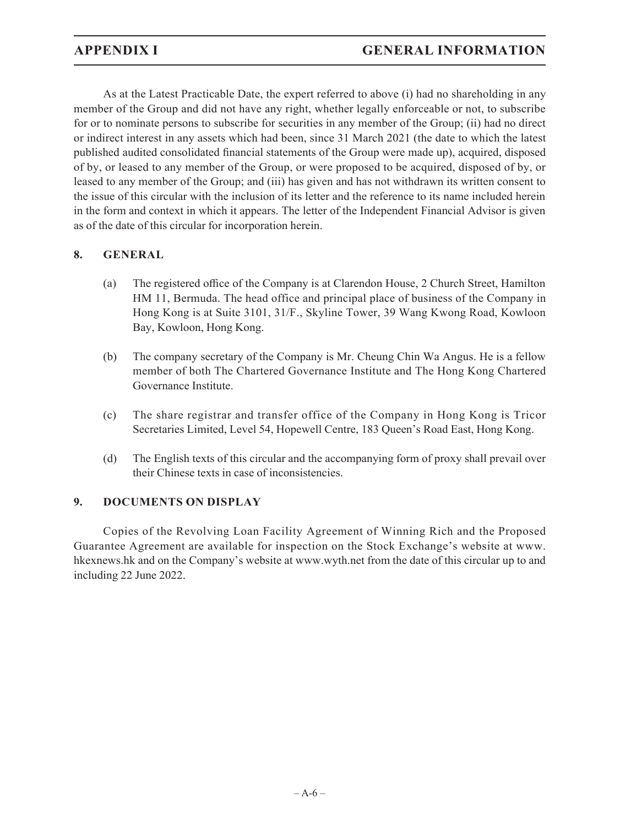As at the Latest Practicable Date, the expert referred to above (i) had no shareholding in any member of the Group and did not have any right, whether legally enforceable or not, to subscribe for or to nominate persons to subscribe for securities in any member of the Group; (ii) had no direct or indirect interest in any assets which had been, since 31 March 2021 (the date to which the latest published audited consolidated financial statements of the Group were made up), acquired, disposed of by, or leased to any member of the Group, or were proposed to be acquired, disposed of by, or leased to any member of the Group; and (iii) has given and has not withdrawn its written consent to the issue of this circular with the inclusion of its letter and the reference to its name included herein in the form and context in which it appears. The letter of the Independent Financial Advisor is given as of the date of this circular for incorporation herein.

## **8. GENERAL**

- (a) The registered office of the Company is at Clarendon House, 2 Church Street, Hamilton HM 11, Bermuda. The head office and principal place of business of the Company in Hong Kong is at Suite 3101, 31/F., Skyline Tower, 39 Wang Kwong Road, Kowloon Bay, Kowloon, Hong Kong.
- (b) The company secretary of the Company is Mr. Cheung Chin Wa Angus. He is a fellow member of both The Chartered Governance Institute and The Hong Kong Chartered Governance Institute.
- (c) The share registrar and transfer office of the Company in Hong Kong is Tricor Secretaries Limited, Level 54, Hopewell Centre, 183 Queen's Road East, Hong Kong.
- (d) The English texts of this circular and the accompanying form of proxy shall prevail over their Chinese texts in case of inconsistencies.

## **9. DOCUMENTS ON DISPLAY**

Copies of the Revolving Loan Facility Agreement of Winning Rich and the Proposed Guarantee Agreement are available for inspection on the Stock Exchange's website at www. hkexnews.hk and on the Company's website at www.wyth.net from the date of this circular up to and including 22 June 2022.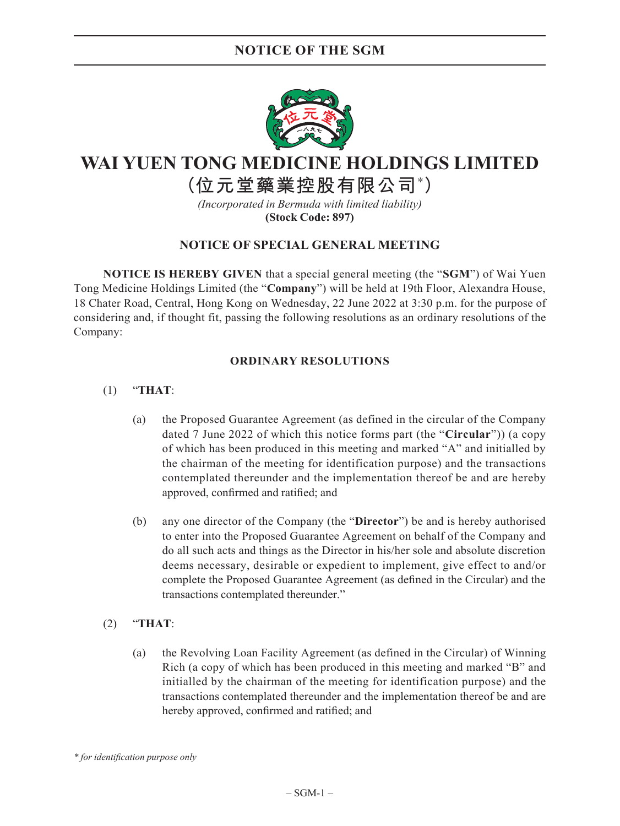## **NOTICE OF THE SGM**



# **WAI YUEN TONG MEDICINE HOLDINGS LIMITED**

**(位元堂藥業控股有限公司\* )**

*(Incorporated in Bermuda with limited liability)* **(Stock Code: 897)**

## **NOTICE OF SPECIAL GENERAL MEETING**

**NOTICE IS HEREBY GIVEN** that a special general meeting (the "**SGM**") of Wai Yuen Tong Medicine Holdings Limited (the "**Company**") will be held at 19th Floor, Alexandra House, 18 Chater Road, Central, Hong Kong on Wednesday, 22 June 2022 at 3:30 p.m. for the purpose of considering and, if thought fit, passing the following resolutions as an ordinary resolutions of the Company:

#### **ORDINARY RESOLUTIONS**

## (1) "**THAT**:

- (a) the Proposed Guarantee Agreement (as defined in the circular of the Company dated 7 June 2022 of which this notice forms part (the "**Circular**")) (a copy of which has been produced in this meeting and marked "A" and initialled by the chairman of the meeting for identification purpose) and the transactions contemplated thereunder and the implementation thereof be and are hereby approved, confirmed and ratified; and
- (b) any one director of the Company (the "**Director**") be and is hereby authorised to enter into the Proposed Guarantee Agreement on behalf of the Company and do all such acts and things as the Director in his/her sole and absolute discretion deems necessary, desirable or expedient to implement, give effect to and/or complete the Proposed Guarantee Agreement (as defined in the Circular) and the transactions contemplated thereunder."
- (2) "**THAT**:
	- (a) the Revolving Loan Facility Agreement (as defined in the Circular) of Winning Rich (a copy of which has been produced in this meeting and marked "B" and initialled by the chairman of the meeting for identification purpose) and the transactions contemplated thereunder and the implementation thereof be and are hereby approved, confirmed and ratified; and

*\* for identification purpose only*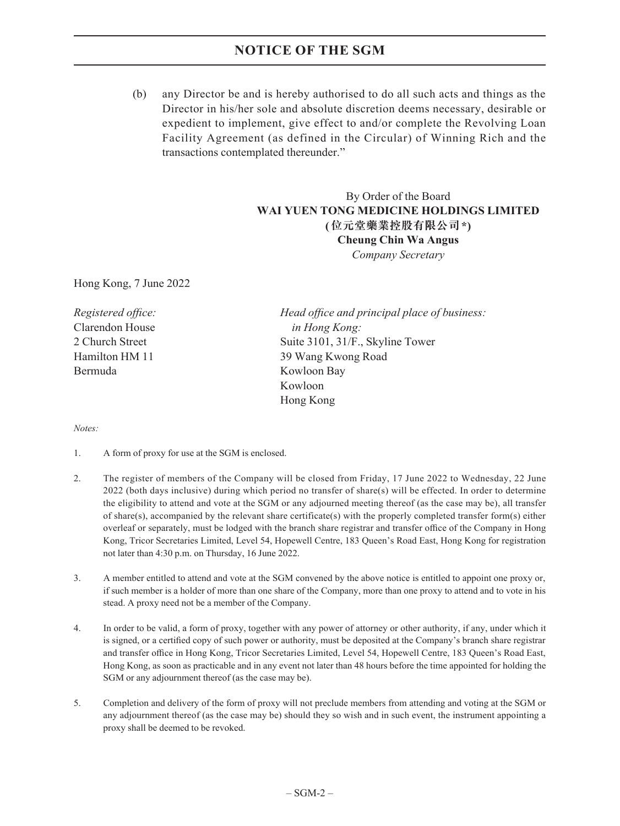## **NOTICE OF THE SGM**

(b) any Director be and is hereby authorised to do all such acts and things as the Director in his/her sole and absolute discretion deems necessary, desirable or expedient to implement, give effect to and/or complete the Revolving Loan Facility Agreement (as defined in the Circular) of Winning Rich and the transactions contemplated thereunder."

## By Order of the Board **WAI YUEN TONG MEDICINE HOLDINGS LIMITED (位元堂藥業控股有限公司\*) Cheung Chin Wa Angus** *Company Secretary*

Hong Kong, 7 June 2022

Clarendon House *in Hong Kong:* Bermuda Kowloon Bay

*Registered office: Head office and principal place of business:* 2 Church Street Suite 3101, 31/F., Skyline Tower Hamilton HM 11 39 Wang Kwong Road Kowloon Hong Kong

#### *Notes:*

- 1. A form of proxy for use at the SGM is enclosed.
- 2. The register of members of the Company will be closed from Friday, 17 June 2022 to Wednesday, 22 June 2022 (both days inclusive) during which period no transfer of share(s) will be effected. In order to determine the eligibility to attend and vote at the SGM or any adjourned meeting thereof (as the case may be), all transfer of share(s), accompanied by the relevant share certificate(s) with the properly completed transfer form(s) either overleaf or separately, must be lodged with the branch share registrar and transfer office of the Company in Hong Kong, Tricor Secretaries Limited, Level 54, Hopewell Centre, 183 Queen's Road East, Hong Kong for registration not later than 4:30 p.m. on Thursday, 16 June 2022.
- 3. A member entitled to attend and vote at the SGM convened by the above notice is entitled to appoint one proxy or, if such member is a holder of more than one share of the Company, more than one proxy to attend and to vote in his stead. A proxy need not be a member of the Company.
- 4. In order to be valid, a form of proxy, together with any power of attorney or other authority, if any, under which it is signed, or a certified copy of such power or authority, must be deposited at the Company's branch share registrar and transfer office in Hong Kong, Tricor Secretaries Limited, Level 54, Hopewell Centre, 183 Queen's Road East, Hong Kong, as soon as practicable and in any event not later than 48 hours before the time appointed for holding the SGM or any adjournment thereof (as the case may be).
- 5. Completion and delivery of the form of proxy will not preclude members from attending and voting at the SGM or any adjournment thereof (as the case may be) should they so wish and in such event, the instrument appointing a proxy shall be deemed to be revoked.